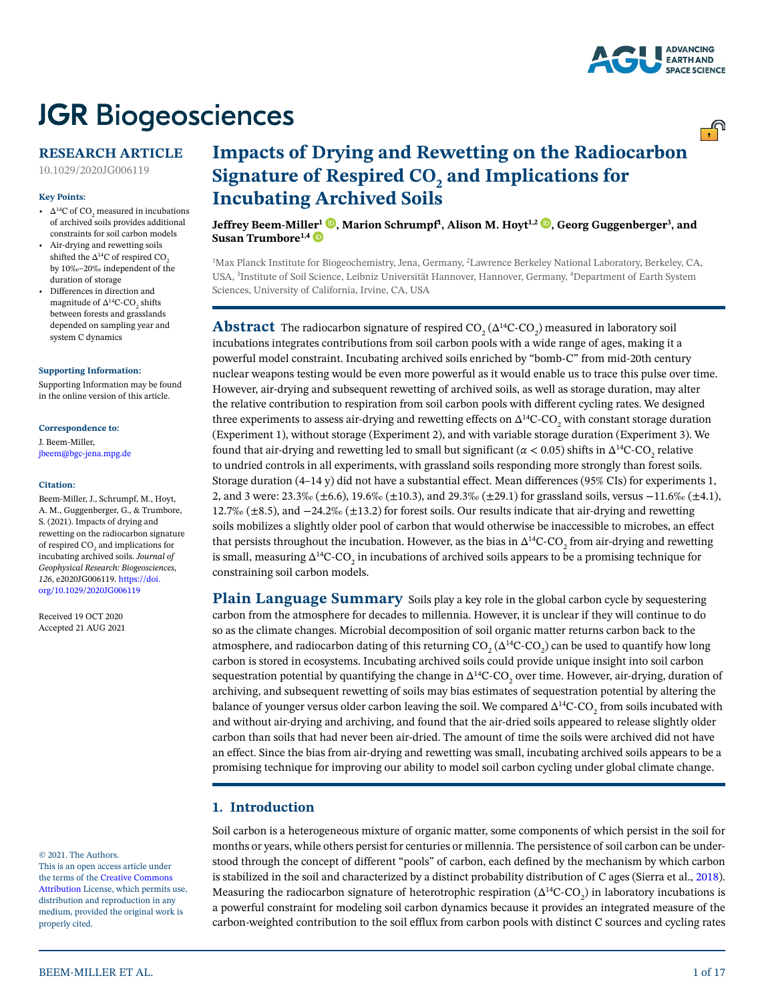

<u>್.</u>ಗಿ

# **JGR Biogeosciences**

# **RESEARCH ARTICLE**

10.1029/2020JG006119

#### **Key Points:**

- $\Delta^{14}$ C of CO<sub>2</sub> measured in incubations of archived soils provides additional constraints for soil carbon models
- Air-drying and rewetting soils shifted the  $\Delta^{14}$ C of respired CO<sub>2</sub> by 10‰–20‰ independent of the duration of storage
- Differences in direction and magnitude of  $\Delta^{14}$ C-CO<sub>2</sub> shifts between forests and grasslands depended on sampling year and system C dynamics

#### **[Supporting Information:](https://doi.org/10.1029/2020JG006119)**

[Supporting Information may be found](https://doi.org/10.1029/2020JG006119)  [in the online version of this article.](https://doi.org/10.1029/2020JG006119)

#### **Correspondence to:**

J. Beem-Miller, jbeem@bgc-jena.mpg.de

#### **Citation:**

Beem-Miller, J., Schrumpf, M., Hoyt, A. M., Guggenberger, G., & Trumbore, S. (2021). Impacts of drying and rewetting on the radiocarbon signature of respired CO $_2$  and implications for incubating archived soils. *Journal of Geophysical Research: Biogeosciences*, *126*, e2020JG006119. [https://doi.](https://doi.org/10.1029/2020JG006119) [org/10.1029/2020JG006119](https://doi.org/10.1029/2020JG006119)

Received 19 OCT 2020 Accepted 21 AUG 2021

#### © 2021. The Authors.

This is an open access article under the terms of the [Creative Commons](http://creativecommons.org/licenses/by/4.0/)  [Attribution](http://creativecommons.org/licenses/by/4.0/) License, which permits use, distribution and reproduction in any medium, provided the original work is properly cited.

# **Impacts of Drying and Rewetting on the Radiocarbon**  Signature of Respired CO<sub>2</sub> and Implications for **Incubating Archived Soils**

**Jeffrey Beem-Mill[er](https://orcid.org/0000-0003-3885-6202)1 [,](https://orcid.org/0000-0003-0955-6622) Marion Schrumpf1 , Alison M. Hoyt1,2 [,](https://orcid.org/0000-0003-0813-5084) Georg Guggenberger3 , and**  Susan Trumbore<sup>1,4</sup>

1 Max Planck Institute for Biogeochemistry, Jena, Germany, 2 Lawrence Berkeley National Laboratory, Berkeley, CA, USA, 3 Institute of Soil Science, Leibniz Universität Hannover, Hannover, Germany, 4 Department of Earth System Sciences, University of California, Irvine, CA, USA

 ${\bf Abstract}$  The radiocarbon signature of respired CO<sub>2</sub> ( $\Delta^1{}^4C$ -CO<sub>2</sub>) measured in laboratory soil incubations integrates contributions from soil carbon pools with a wide range of ages, making it a powerful model constraint. Incubating archived soils enriched by "bomb-C" from mid-20th century nuclear weapons testing would be even more powerful as it would enable us to trace this pulse over time. However, air-drying and subsequent rewetting of archived soils, as well as storage duration, may alter the relative contribution to respiration from soil carbon pools with different cycling rates. We designed three experiments to assess air-drying and rewetting effects on  $\Delta^{14}C$ -CO<sub>2</sub> with constant storage duration (Experiment 1), without storage (Experiment 2), and with variable storage duration (Experiment 3). We found that air-drying and rewetting led to small but significant (*α* < 0.05) shifts in  $Δ^{14}C$ -CO<sub>2</sub> relative to undried controls in all experiments, with grassland soils responding more strongly than forest soils. Storage duration (4–14 y) did not have a substantial effect. Mean differences (95% CIs) for experiments 1, 2, and 3 were: 23.3‰ (±6.6), 19.6‰ (±10.3), and 29.3‰ (±29.1) for grassland soils, versus −11.6‰ (±4.1), 12.7‰ (±8.5), and −24.2‰ (±13.2) for forest soils. Our results indicate that air-drying and rewetting soils mobilizes a slightly older pool of carbon that would otherwise be inaccessible to microbes, an effect that persists throughout the incubation. However, as the bias in  $\Delta^{14}$ C-CO<sub>2</sub> from air-drying and rewetting is small, measuring  $\Delta^{14}$ C-CO<sub>2</sub> in incubations of archived soils appears to be a promising technique for constraining soil carbon models.

**Plain Language Summary** Soils play a key role in the global carbon cycle by sequestering carbon from the atmosphere for decades to millennia. However, it is unclear if they will continue to do so as the climate changes. Microbial decomposition of soil organic matter returns carbon back to the atmosphere, and radiocarbon dating of this returning CO<sub>2</sub> ( $\Delta^{14}$ C-CO<sub>2</sub>) can be used to quantify how long carbon is stored in ecosystems. Incubating archived soils could provide unique insight into soil carbon sequestration potential by quantifying the change in  $\Delta^{14}$ C-CO $_2$  over time. However, air-drying, duration of archiving, and subsequent rewetting of soils may bias estimates of sequestration potential by altering the balance of younger versus older carbon leaving the soil. We compared  $\Delta^{14}$ C-CO $_2$  from soils incubated with and without air-drying and archiving, and found that the air-dried soils appeared to release slightly older carbon than soils that had never been air-dried. The amount of time the soils were archived did not have an effect. Since the bias from air-drying and rewetting was small, incubating archived soils appears to be a promising technique for improving our ability to model soil carbon cycling under global climate change.

# **1. Introduction**

Soil carbon is a heterogeneous mixture of organic matter, some components of which persist in the soil for months or years, while others persist for centuries or millennia. The persistence of soil carbon can be understood through the concept of different "pools" of carbon, each defined by the mechanism by which carbon is stabilized in the soil and characterized by a distinct probability distribution of C ages (Sierra et al., [2018](#page-16-0)). Measuring the radiocarbon signature of heterotrophic respiration ( $\Delta^{14}C$ -CO<sub>2</sub>) in laboratory incubations is a powerful constraint for modeling soil carbon dynamics because it provides an integrated measure of the carbon-weighted contribution to the soil efflux from carbon pools with distinct C sources and cycling rates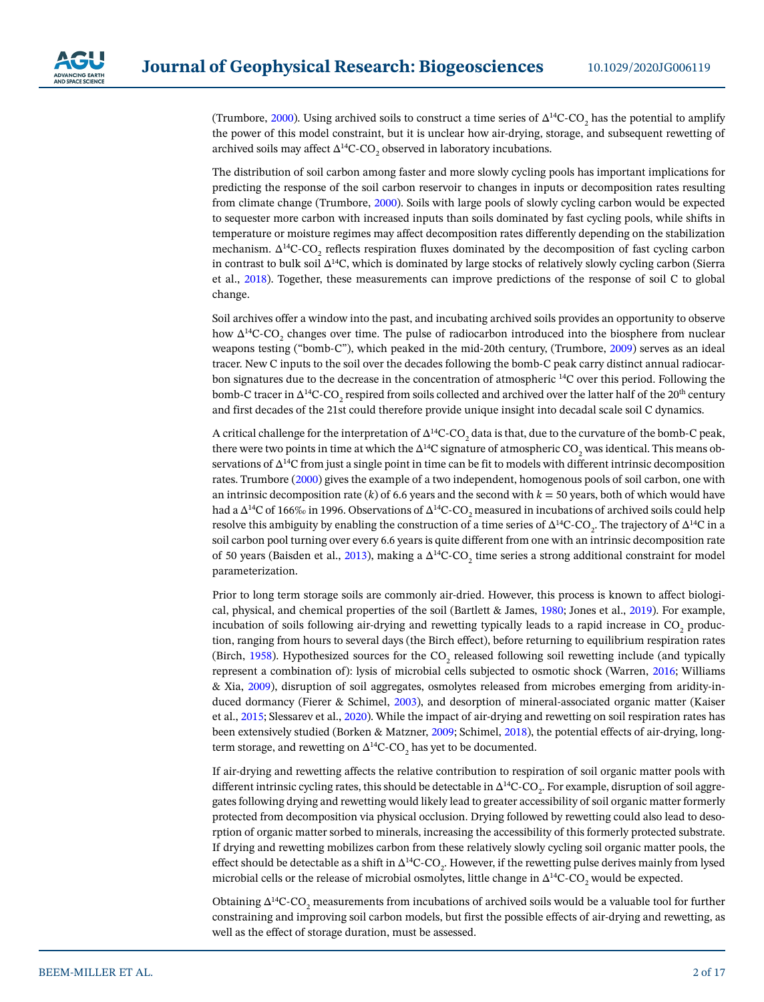(Trumbore, [2000\)](#page-16-1). Using archived soils to construct a time series of  $\Delta^{14}$ C-CO<sub>2</sub> has the potential to amplify the power of this model constraint, but it is unclear how air-drying, storage, and subsequent rewetting of archived soils may affect  $\Delta^{14}$ C-CO<sub>2</sub> observed in laboratory incubations.

The distribution of soil carbon among faster and more slowly cycling pools has important implications for predicting the response of the soil carbon reservoir to changes in inputs or decomposition rates resulting from climate change (Trumbore, [2000](#page-16-1)). Soils with large pools of slowly cycling carbon would be expected to sequester more carbon with increased inputs than soils dominated by fast cycling pools, while shifts in temperature or moisture regimes may affect decomposition rates differently depending on the stabilization mechanism.  $\Delta^{14}$ C-CO<sub>2</sub> reflects respiration fluxes dominated by the decomposition of fast cycling carbon in contrast to bulk soil ∆14C, which is dominated by large stocks of relatively slowly cycling carbon (Sierra et al., [2018\)](#page-16-0). Together, these measurements can improve predictions of the response of soil C to global change.

Soil archives offer a window into the past, and incubating archived soils provides an opportunity to observe how  $\Delta^{14}$ C-CO<sub>2</sub> changes over time. The pulse of radiocarbon introduced into the biosphere from nuclear weapons testing ("bomb-C"), which peaked in the mid-20th century, (Trumbore, [2009\)](#page-16-2) serves as an ideal tracer. New C inputs to the soil over the decades following the bomb-C peak carry distinct annual radiocarbon signatures due to the decrease in the concentration of atmospheric 14C over this period. Following the bomb-C tracer in  $\Delta^{14}$ C-CO<sub>2</sub> respired from soils collected and archived over the latter half of the 20<sup>th</sup> century and first decades of the 21st could therefore provide unique insight into decadal scale soil C dynamics.

A critical challenge for the interpretation of  $\Delta^{14}$ C-CO<sub>2</sub> data is that, due to the curvature of the bomb-C peak, there were two points in time at which the ∆ $^{14}C$  signature of atmospheric CO<sub>2</sub> was identical. This means observations of ∆<sup>14</sup>C from just a single point in time can be fit to models with different intrinsic decomposition rates. Trumbore [\(2000](#page-16-1)) gives the example of a two independent, homogenous pools of soil carbon, one with an intrinsic decomposition rate  $(k)$  of 6.6 years and the second with  $k = 50$  years, both of which would have had a ∆ $^{14}$ C of 166‰ in 1996. Observations of  $\Delta^{14}$ C-CO<sub>2</sub> measured in incubations of archived soils could help resolve this ambiguity by enabling the construction of a time series of  $\Delta^{14}C$ -CO<sub>2</sub>. The trajectory of  $\Delta^{14}C$  in a soil carbon pool turning over every 6.6 years is quite different from one with an intrinsic decomposition rate of 50 years (Baisden et al., [2013\)](#page-15-0), making a  $\Delta^{14}$ C-CO<sub>2</sub> time series a strong additional constraint for model parameterization.

Prior to long term storage soils are commonly air-dried. However, this process is known to affect biological, physical, and chemical properties of the soil (Bartlett & James, [1980](#page-15-1); Jones et al., [2019](#page-15-2)). For example, incubation of soils following air-drying and rewetting typically leads to a rapid increase in  $\mathrm{CO}_2$  production, ranging from hours to several days (the Birch effect), before returning to equilibrium respiration rates (Birch, [1958](#page-15-3)). Hypothesized sources for the CO<sub>2</sub> released following soil rewetting include (and typically represent a combination of): lysis of microbial cells subjected to osmotic shock (Warren, [2016](#page-16-3); Williams & Xia, [2009\)](#page-16-4), disruption of soil aggregates, osmolytes released from microbes emerging from aridity-induced dormancy (Fierer & Schimel, [2003\)](#page-15-4), and desorption of mineral-associated organic matter (Kaiser et al., [2015](#page-15-5); Slessarev et al., [2020\)](#page-16-5). While the impact of air-drying and rewetting on soil respiration rates has been extensively studied (Borken & Matzner, [2009](#page-15-6); Schimel, [2018\)](#page-15-7), the potential effects of air-drying, longterm storage, and rewetting on  $\Delta^{14}$ C-CO<sub>2</sub> has yet to be documented.

If air-drying and rewetting affects the relative contribution to respiration of soil organic matter pools with different intrinsic cycling rates, this should be detectable in  $\Delta^{14}$ C-CO<sub>2</sub>. For example, disruption of soil aggregates following drying and rewetting would likely lead to greater accessibility of soil organic matter formerly protected from decomposition via physical occlusion. Drying followed by rewetting could also lead to desorption of organic matter sorbed to minerals, increasing the accessibility of this formerly protected substrate. If drying and rewetting mobilizes carbon from these relatively slowly cycling soil organic matter pools, the effect should be detectable as a shift in  $\Delta^{14}$ C-CO<sub>2</sub>. However, if the rewetting pulse derives mainly from lysed microbial cells or the release of microbial osmolytes, little change in  $\Delta^{14}\text{C-CO}_2$  would be expected.

Obtaining ∆<sup>14</sup>C-CO<sub>2</sub> measurements from incubations of archived soils would be a valuable tool for further constraining and improving soil carbon models, but first the possible effects of air-drying and rewetting, as well as the effect of storage duration, must be assessed.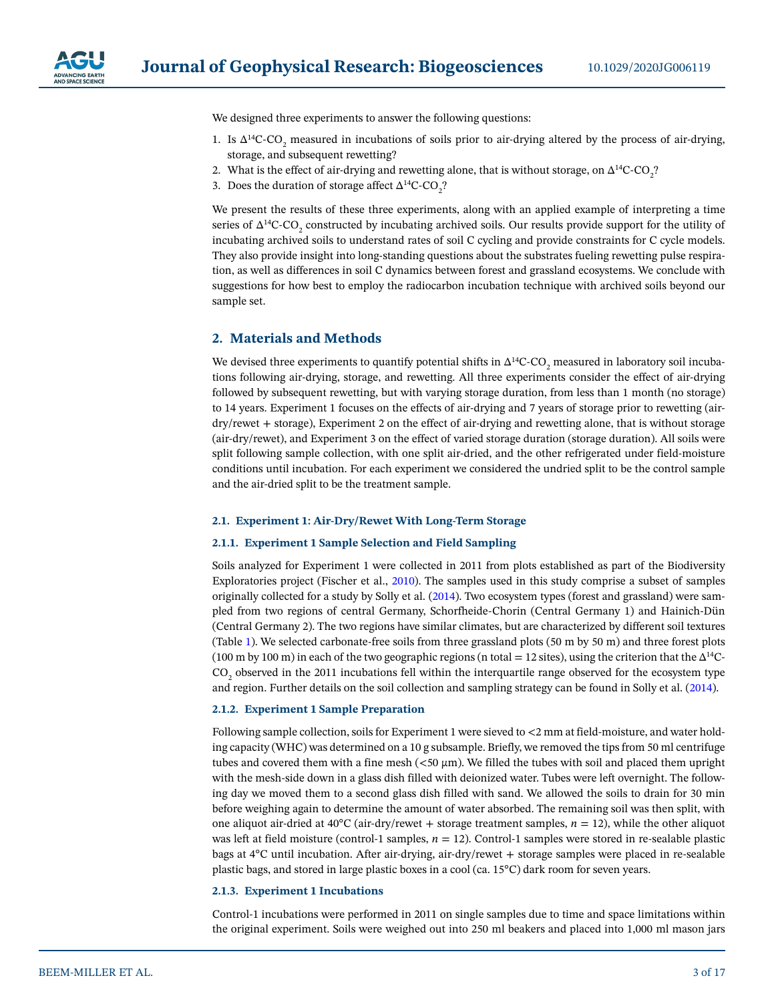

We designed three experiments to answer the following questions:

- 1. Is  $\Delta^{14}$ C-CO<sub>2</sub> measured in incubations of soils prior to air-drying altered by the process of air-drying, storage, and subsequent rewetting?
- 2. What is the effect of air-drying and rewetting alone, that is without storage, on  $\Delta^{14}$ C-CO<sub>2</sub>?
- 3. Does the duration of storage affect  $\Delta^{14}C$ -CO<sub>2</sub>?

We present the results of these three experiments, along with an applied example of interpreting a time series of  $\Delta^{14}$ C-CO<sub>2</sub> constructed by incubating archived soils. Our results provide support for the utility of incubating archived soils to understand rates of soil C cycling and provide constraints for C cycle models. They also provide insight into long-standing questions about the substrates fueling rewetting pulse respiration, as well as differences in soil C dynamics between forest and grassland ecosystems. We conclude with suggestions for how best to employ the radiocarbon incubation technique with archived soils beyond our sample set.

# **2. Materials and Methods**

We devised three experiments to quantify potential shifts in  $\Delta^{14}$ C-CO<sub>2</sub> measured in laboratory soil incubations following air-drying, storage, and rewetting. All three experiments consider the effect of air-drying followed by subsequent rewetting, but with varying storage duration, from less than 1 month (no storage) to 14 years. Experiment 1 focuses on the effects of air-drying and 7 years of storage prior to rewetting (airdry/rewet + storage), Experiment 2 on the effect of air-drying and rewetting alone, that is without storage (air-dry/rewet), and Experiment 3 on the effect of varied storage duration (storage duration). All soils were split following sample collection, with one split air-dried, and the other refrigerated under field-moisture conditions until incubation. For each experiment we considered the undried split to be the control sample and the air-dried split to be the treatment sample.

#### **2.1. Experiment 1: Air-Dry/Rewet With Long-Term Storage**

#### **2.1.1. Experiment 1 Sample Selection and Field Sampling**

Soils analyzed for Experiment 1 were collected in 2011 from plots established as part of the Biodiversity Exploratories project (Fischer et al., [2010](#page-15-8)). The samples used in this study comprise a subset of samples originally collected for a study by Solly et al. [\(2014](#page-16-6)). Two ecosystem types (forest and grassland) were sampled from two regions of central Germany, Schorfheide-Chorin (Central Germany 1) and Hainich-Dün (Central Germany 2). The two regions have similar climates, but are characterized by different soil textures (Table [1\)](#page-3-0). We selected carbonate-free soils from three grassland plots (50 m by 50 m) and three forest plots (100 m by 100 m) in each of the two geographic regions (n total = 12 sites), using the criterion that the  $\Delta^{14}C$ - $\rm CO_{2}$  observed in the 2011 incubations fell within the interquartile range observed for the ecosystem type and region. Further details on the soil collection and sampling strategy can be found in Solly et al. [\(2014](#page-16-6)).

#### **2.1.2. Experiment 1 Sample Preparation**

Following sample collection, soils for Experiment 1 were sieved to <2 mm at field-moisture, and water holding capacity (WHC) was determined on a 10 g subsample. Briefly, we removed the tips from 50 ml centrifuge tubes and covered them with a fine mesh (<50 μm). We filled the tubes with soil and placed them upright with the mesh-side down in a glass dish filled with deionized water. Tubes were left overnight. The following day we moved them to a second glass dish filled with sand. We allowed the soils to drain for 30 min before weighing again to determine the amount of water absorbed. The remaining soil was then split, with one aliquot air-dried at 40<sup>o</sup>C (air-dry/rewet + storage treatment samples,  $n = 12$ ), while the other aliquot was left at field moisture (control-1 samples,  $n = 12$ ). Control-1 samples were stored in re-sealable plastic bags at 4°C until incubation. After air-drying, air-dry/rewet + storage samples were placed in re-sealable plastic bags, and stored in large plastic boxes in a cool (ca. 15°C) dark room for seven years.

#### <span id="page-2-0"></span>**2.1.3. Experiment 1 Incubations**

Control-1 incubations were performed in 2011 on single samples due to time and space limitations within the original experiment. Soils were weighed out into 250 ml beakers and placed into 1,000 ml mason jars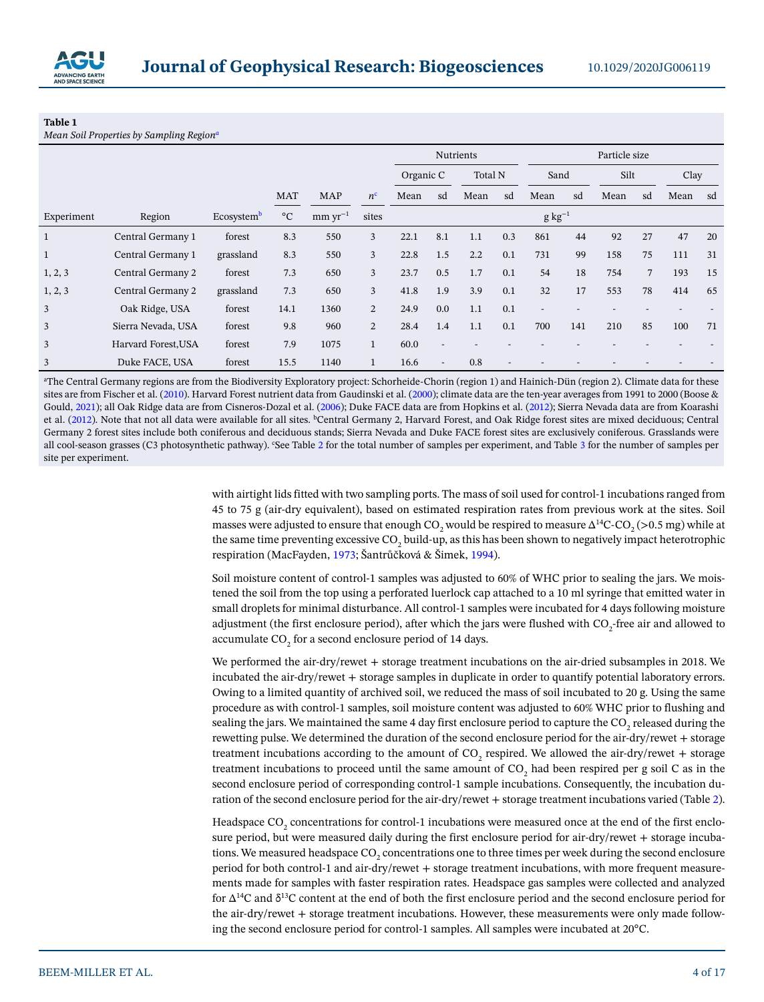

#### <span id="page-3-0"></span>**Table 1**

*Mean Soil Properties by Sampling Region<sup>6</sup>* 

|              |                     |                        |                 |              |                | <b>Nutrients</b> |                          |         | Particle size |      |             |      |    |      |    |
|--------------|---------------------|------------------------|-----------------|--------------|----------------|------------------|--------------------------|---------|---------------|------|-------------|------|----|------|----|
|              |                     |                        |                 |              |                | Organic C        |                          | Total N |               | Sand |             | Silt |    | Clay |    |
|              |                     |                        | <b>MAT</b>      | <b>MAP</b>   | $n^{\rm c}$    | Mean             | sd                       | Mean    | sd            | Mean | sd          | Mean | sd | Mean | sd |
| Experiment   | Region              | Ecosystem <sup>b</sup> | $\rm ^{\circ}C$ | $mm yr^{-1}$ | sites          |                  |                          |         |               |      | $g kg^{-1}$ |      |    |      |    |
| $\mathbf{1}$ | Central Germany 1   | forest                 | 8.3             | 550          | 3              | 22.1             | 8.1                      | 1.1     | 0.3           | 861  | 44          | 92   | 27 | 47   | 20 |
| $\mathbf{1}$ | Central Germany 1   | grassland              | 8.3             | 550          | $\overline{3}$ | 22.8             | 1.5                      | 2.2     | 0.1           | 731  | 99          | 158  | 75 | 111  | 31 |
| 1, 2, 3      | Central Germany 2   | forest                 | 7.3             | 650          | 3              | 23.7             | 0.5                      | 1.7     | 0.1           | 54   | 18          | 754  | 7  | 193  | 15 |
| 1, 2, 3      | Central Germany 2   | grassland              | 7.3             | 650          | 3              | 41.8             | 1.9                      | 3.9     | 0.1           | 32   | 17          | 553  | 78 | 414  | 65 |
| 3            | Oak Ridge, USA      | forest                 | 14.1            | 1360         | $\overline{2}$ | 24.9             | 0.0                      | 1.1     | 0.1           |      |             |      |    |      |    |
| 3            | Sierra Nevada, USA  | forest                 | 9.8             | 960          | 2              | 28.4             | 1.4                      | 1.1     | 0.1           | 700  | 141         | 210  | 85 | 100  | 71 |
| 3            | Harvard Forest, USA | forest                 | 7.9             | 1075         | $\mathbf{1}$   | 60.0             | $\overline{\phantom{a}}$ |         |               |      |             |      |    |      |    |
| 3            | Duke FACE, USA      | forest                 | 15.5            | 1140         | $\mathbf{1}$   | 16.6             | $\blacksquare$           | 0.8     |               |      |             |      |    |      |    |

a The Central Germany regions are from the Biodiversity Exploratory project: Schorheide-Chorin (region 1) and Hainich-Dün (region 2). Climate data for these sites are from Fischer et al. ([2010\)](#page-15-8). Harvard Forest nutrient data from Gaudinski et al. [\(2000](#page-15-11)); climate data are the ten-year averages from 1991 to 2000 (Boose & Gould, [2021](#page-15-12)); all Oak Ridge data are from Cisneros-Dozal et al. [\(2006\)](#page-15-13); Duke FACE data are from Hopkins et al. [\(2012](#page-15-14)); Sierra Nevada data are from Koarashi et al. [\(2012](#page-15-15)). Note that not all data were available for all sites. <sup>b</sup>Central Germany 2, Harvard Forest, and Oak Ridge forest sites are mixed deciduous; Central Germany 2 forest sites include both coniferous and deciduous stands; Sierra Nevada and Duke FACE forest sites are exclusively coniferous. Grasslands were all cool-season grasses (C3 photosynthetic pathway). <sup>c</sup>See Table [2](#page-4-0) for the total number of samples per experiment, and Table [3](#page-9-0) for the number of samples per site per experiment.

> with airtight lids fitted with two sampling ports. The mass of soil used for control-1 incubations ranged from 45 to 75 g (air-dry equivalent), based on estimated respiration rates from previous work at the sites. Soil masses were adjusted to ensure that enough CO<sub>2</sub> would be respired to measure ∆<sup>14</sup>C-CO<sub>2</sub> (>0.5 mg) while at the same time preventing excessive CO<sub>2</sub> build-up, as this has been shown to negatively impact heterotrophic respiration (MacFayden, [1973;](#page-15-9) Šantrůčková & Šimek, [1994](#page-15-10)).

> Soil moisture content of control-1 samples was adjusted to 60% of WHC prior to sealing the jars. We moistened the soil from the top using a perforated luerlock cap attached to a 10 ml syringe that emitted water in small droplets for minimal disturbance. All control-1 samples were incubated for 4 days following moisture adjustment (the first enclosure period), after which the jars were flushed with  $\mathrm{CO}_2$ -free air and allowed to accumulate CO $_{\textrm{\tiny{2}}}$  for a second enclosure period of 14 days.

> We performed the air-dry/rewet + storage treatment incubations on the air-dried subsamples in 2018. We incubated the air-dry/rewet + storage samples in duplicate in order to quantify potential laboratory errors. Owing to a limited quantity of archived soil, we reduced the mass of soil incubated to 20 g. Using the same procedure as with control-1 samples, soil moisture content was adjusted to 60% WHC prior to flushing and sealing the jars. We maintained the same 4 day first enclosure period to capture the CO<sub>2</sub> released during the rewetting pulse. We determined the duration of the second enclosure period for the air-dry/rewet + storage treatment incubations according to the amount of  $CO_2$  respired. We allowed the air-dry/rewet + storage treatment incubations to proceed until the same amount of  $CO_2$  had been respired per g soil C as in the second enclosure period of corresponding control-1 sample incubations. Consequently, the incubation duration of the second enclosure period for the air-dry/rewet + storage treatment incubations varied (Table [2](#page-4-0)).

> Headspace CO<sub>2</sub> concentrations for control-1 incubations were measured once at the end of the first enclosure period, but were measured daily during the first enclosure period for air-dry/rewet + storage incubations. We measured headspace CO $_{\textrm{\tiny{2}}}$  concentrations one to three times per week during the second enclosure period for both control-1 and air-dry/rewet + storage treatment incubations, with more frequent measurements made for samples with faster respiration rates. Headspace gas samples were collected and analyzed for ∆14C and δ13C content at the end of both the first enclosure period and the second enclosure period for the air-dry/rewet + storage treatment incubations. However, these measurements were only made following the second enclosure period for control-1 samples. All samples were incubated at 20°C.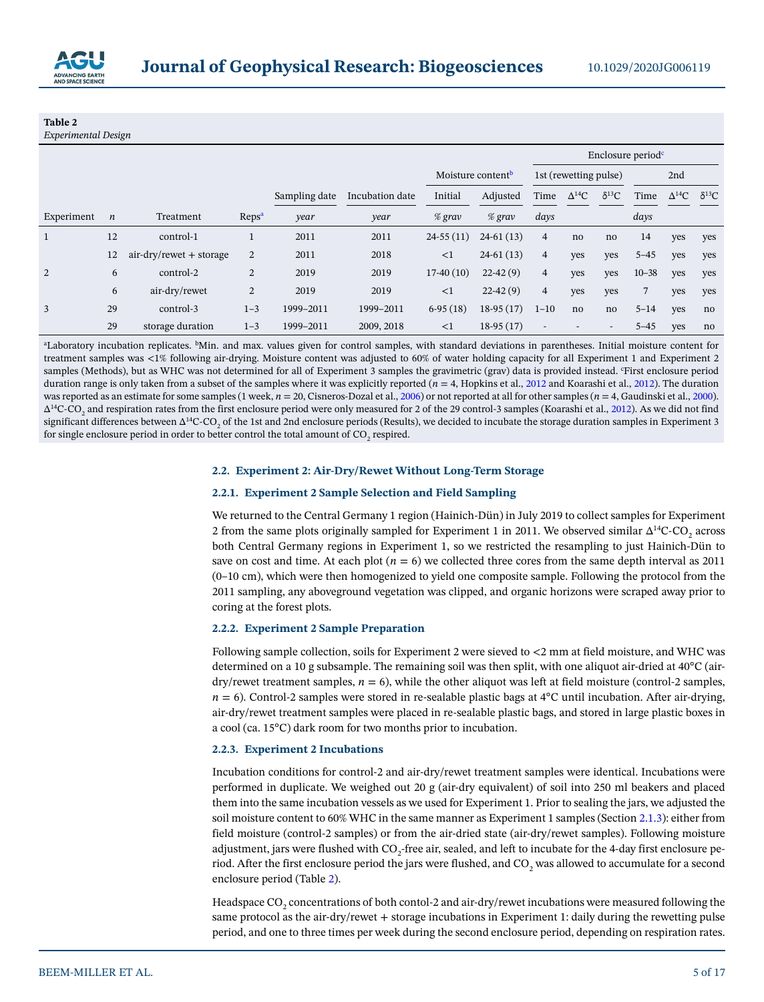

# <span id="page-4-0"></span>**Table 2**

*Experimental Design*

|            |                  |                           |                   |               |                 |             |                               | Enclosure period <sup>c</sup>             |     |      |                 |                |     |
|------------|------------------|---------------------------|-------------------|---------------|-----------------|-------------|-------------------------------|-------------------------------------------|-----|------|-----------------|----------------|-----|
|            |                  |                           |                   |               |                 |             | Moisture content <sup>b</sup> | 1st (rewetting pulse)                     |     |      | 2nd             |                |     |
|            |                  |                           |                   | Sampling date | Incubation date | Initial     | Adjusted                      | $\delta^{13}C$<br>$\Delta^{14}$ C<br>Time |     | Time | $\Delta^{14}$ C | $\delta^{13}C$ |     |
| Experiment | $\boldsymbol{n}$ | Treatment                 | Reps <sup>a</sup> | year          | year            | $%$ grav    | $%$ grav                      | days                                      |     |      | days            |                |     |
| 1          | 12               | control-1                 |                   | 2011          | 2011            | $24-55(11)$ | $24-61(13)$                   | $\overline{4}$                            | no  | no   | 14              | yes            | yes |
|            | 12               | $air-dry/rewet + storage$ | $\overline{2}$    | 2011          | 2018            | $\leq$ 1    | $24-61(13)$                   | $\overline{4}$                            | yes | yes  | $5 - 45$        | yes            | yes |
| 2          | 6                | control-2                 | $\overline{2}$    | 2019          | 2019            | $17-40(10)$ | $22-42(9)$                    | $\overline{4}$                            | yes | yes  | $10 - 38$       | yes            | yes |
|            | 6                | air-dry/rewet             | 2                 | 2019          | 2019            | <1          | $22-42(9)$                    | $\overline{4}$                            | yes | yes  | 7               | yes            | yes |
| 3          | 29               | control-3                 | $1 - 3$           | 1999-2011     | 1999-2011       | $6-95(18)$  | $18-95(17)$                   | $1 - 10$                                  | no  | no   | $5 - 14$        | yes            | no  |
|            | 29               | storage duration          | $1 - 3$           | 1999-2011     | 2009, 2018      | <1          | $18-95(17)$                   | $\overline{\phantom{a}}$                  |     | -    | $5 - 45$        | yes            | no  |

a Laboratory incubation replicates. bMin. and max. values given for control samples, with standard deviations in parentheses. Initial moisture content for treatment samples was <1% following air-drying. Moisture content was adjusted to 60% of water holding capacity for all Experiment 1 and Experiment 2 samples (Methods), but as WHC was not determined for all of Experiment 3 samples the gravimetric (grav) data is provided instead. 'First enclosure period duration range is only taken from a subset of the samples where it was explicitly reported ( $n = 4$ , Hopkins et al., [2012](#page-15-14) and Koarashi et al., [2012\)](#page-15-15). The duration was reported as an estimate for some samples (1 week,  $n = 20$ , Cisneros-Dozal et al., [2006\)](#page-15-13) or not reported at all for other samples ( $n = 4$ , Gaudinski et al., [2000\)](#page-15-11).  $\Delta^{14}$ C-CO<sub>2</sub> and respiration rates from the first enclosure period were only measured for 2 of the 29 control-3 samples (Koarashi et al., [2012\)](#page-15-15). As we did not find significant differences between ∆<sup>14</sup>C-CO<sub>2</sub> of the 1st and 2nd enclosure periods (Results), we decided to incubate the storage duration samples in Experiment 3 for single enclosure period in order to better control the total amount of  $\mathrm{CO}_2$  respired.

#### **2.2. Experiment 2: Air-Dry/Rewet Without Long-Term Storage**

### **2.2.1. Experiment 2 Sample Selection and Field Sampling**

We returned to the Central Germany 1 region (Hainich-Dün) in July 2019 to collect samples for Experiment 2 from the same plots originally sampled for Experiment 1 in 2011. We observed similar  $\Delta^{14}$ C-CO<sub>2</sub> across both Central Germany regions in Experiment 1, so we restricted the resampling to just Hainich-Dün to save on cost and time. At each plot  $(n = 6)$  we collected three cores from the same depth interval as 2011 (0–10 cm), which were then homogenized to yield one composite sample. Following the protocol from the 2011 sampling, any aboveground vegetation was clipped, and organic horizons were scraped away prior to coring at the forest plots.

## **2.2.2. Experiment 2 Sample Preparation**

Following sample collection, soils for Experiment 2 were sieved to <2 mm at field moisture, and WHC was determined on a 10 g subsample. The remaining soil was then split, with one aliquot air-dried at 40°C (air- $\frac{div}{\text{c}}$  dry/rewet treatment samples,  $n = 6$ ), while the other aliquot was left at field moisture (control-2 samples,  $n = 6$ ). Control-2 samples were stored in re-sealable plastic bags at  $4^{\circ}$ C until incubation. After air-drying, air-dry/rewet treatment samples were placed in re-sealable plastic bags, and stored in large plastic boxes in a cool (ca. 15°C) dark room for two months prior to incubation.

#### **2.2.3. Experiment 2 Incubations**

Incubation conditions for control-2 and air-dry/rewet treatment samples were identical. Incubations were performed in duplicate. We weighed out 20 g (air-dry equivalent) of soil into 250 ml beakers and placed them into the same incubation vessels as we used for Experiment 1. Prior to sealing the jars, we adjusted the soil moisture content to 60% WHC in the same manner as Experiment 1 samples (Section [2.1.3\)](#page-2-0): either from field moisture (control-2 samples) or from the air-dried state (air-dry/rewet samples). Following moisture adjustment, jars were flushed with  $\mathrm{CO}_2$ -free air, sealed, and left to incubate for the 4-day first enclosure period. After the first enclosure period the jars were flushed, and CO<sub>2</sub> was allowed to accumulate for a second enclosure period (Table [2\)](#page-4-0).

Headspace CO<sub>2</sub> concentrations of both contol-2 and air-dry/rewet incubations were measured following the same protocol as the air-dry/rewet + storage incubations in Experiment 1: daily during the rewetting pulse period, and one to three times per week during the second enclosure period, depending on respiration rates.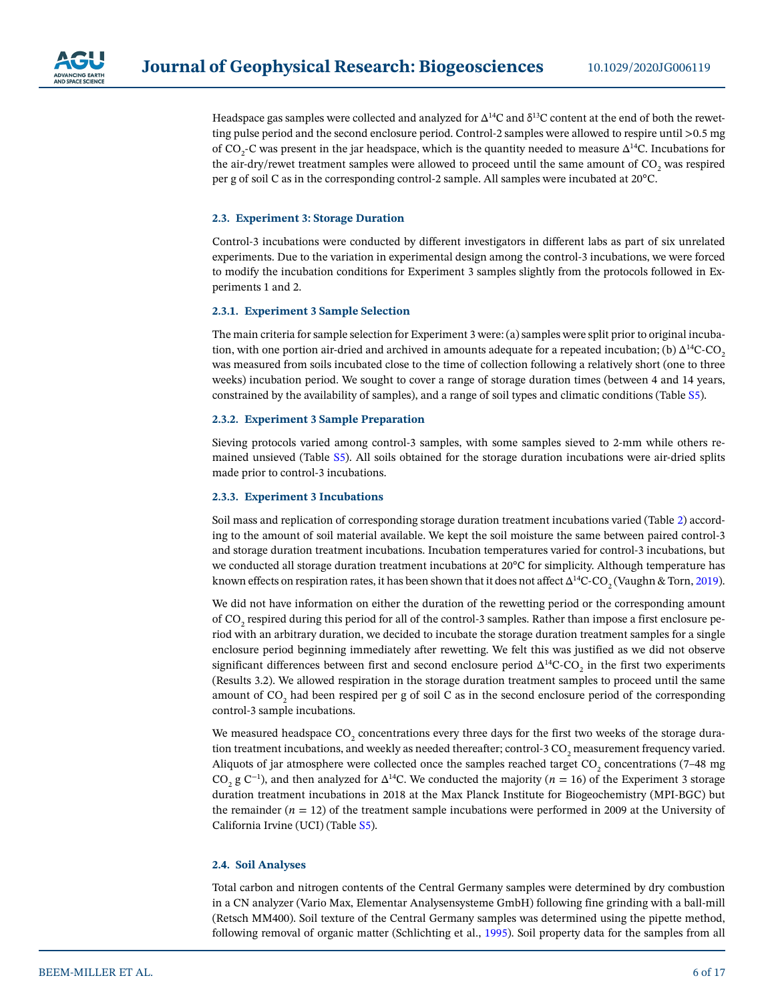

Headspace gas samples were collected and analyzed for  $\Delta^{14}C$  and  $\delta^{13}C$  content at the end of both the rewetting pulse period and the second enclosure period. Control-2 samples were allowed to respire until >0.5 mg of CO<sub>2</sub>-C was present in the jar headspace, which is the quantity needed to measure  $\Delta^{14}$ C. Incubations for the air-dry/rewet treatment samples were allowed to proceed until the same amount of  $\mathrm{CO}_2$  was respired per g of soil C as in the corresponding control-2 sample. All samples were incubated at 20°C.

#### **2.3. Experiment 3: Storage Duration**

Control-3 incubations were conducted by different investigators in different labs as part of six unrelated experiments. Due to the variation in experimental design among the control-3 incubations, we were forced to modify the incubation conditions for Experiment 3 samples slightly from the protocols followed in Experiments 1 and 2.

#### **2.3.1. Experiment 3 Sample Selection**

The main criteria for sample selection for Experiment 3 were: (a) samples were split prior to original incubation, with one portion air-dried and archived in amounts adequate for a repeated incubation; (b)  $\Delta^{14}$ C-CO<sub>2</sub> was measured from soils incubated close to the time of collection following a relatively short (one to three weeks) incubation period. We sought to cover a range of storage duration times (between 4 and 14 years, constrained by the availability of samples), and a range of soil types and climatic conditions (Table S5).

#### **2.3.2. Experiment 3 Sample Preparation**

Sieving protocols varied among control-3 samples, with some samples sieved to 2-mm while others remained unsieved (Table S5). All soils obtained for the storage duration incubations were air-dried splits made prior to control-3 incubations.

#### **2.3.3. Experiment 3 Incubations**

Soil mass and replication of corresponding storage duration treatment incubations varied (Table [2](#page-4-0)) according to the amount of soil material available. We kept the soil moisture the same between paired control-3 and storage duration treatment incubations. Incubation temperatures varied for control-3 incubations, but we conducted all storage duration treatment incubations at 20°C for simplicity. Although temperature has known effects on respiration rates, it has been shown that it does not affect  $\Delta^{14}$ C-CO $_2$  (Vaughn & Torn, [2019](#page-16-7)).

We did not have information on either the duration of the rewetting period or the corresponding amount of CO<sub>2</sub> respired during this period for all of the control-3 samples. Rather than impose a first enclosure period with an arbitrary duration, we decided to incubate the storage duration treatment samples for a single enclosure period beginning immediately after rewetting. We felt this was justified as we did not observe significant differences between first and second enclosure period  $\Delta^{14}$ C-CO<sub>2</sub> in the first two experiments (Results 3.2). We allowed respiration in the storage duration treatment samples to proceed until the same amount of CO<sub>2</sub> had been respired per g of soil C as in the second enclosure period of the corresponding control-3 sample incubations.

We measured headspace CO<sub>2</sub> concentrations every three days for the first two weeks of the storage duration treatment incubations, and weekly as needed thereafter; control-3 CO<sub>2</sub> measurement frequency varied. Aliquots of jar atmosphere were collected once the samples reached target CO<sub>2</sub> concentrations (7–48 mg CO<sub>2</sub> g C<sup>-1</sup>), and then analyzed for  $\Delta^{14}$ C. We conducted the majority (*n* = 16) of the Experiment 3 storage duration treatment incubations in 2018 at the Max Planck Institute for Biogeochemistry (MPI-BGC) but the remainder  $(n = 12)$  of the treatment sample incubations were performed in 2009 at the University of California Irvine (UCI) (Table S5).

#### **2.4. Soil Analyses**

Total carbon and nitrogen contents of the Central Germany samples were determined by dry combustion in a CN analyzer (Vario Max, Elementar Analysensysteme GmbH) following fine grinding with a ball-mill (Retsch MM400). Soil texture of the Central Germany samples was determined using the pipette method, following removal of organic matter (Schlichting et al., [1995](#page-15-16)). Soil property data for the samples from all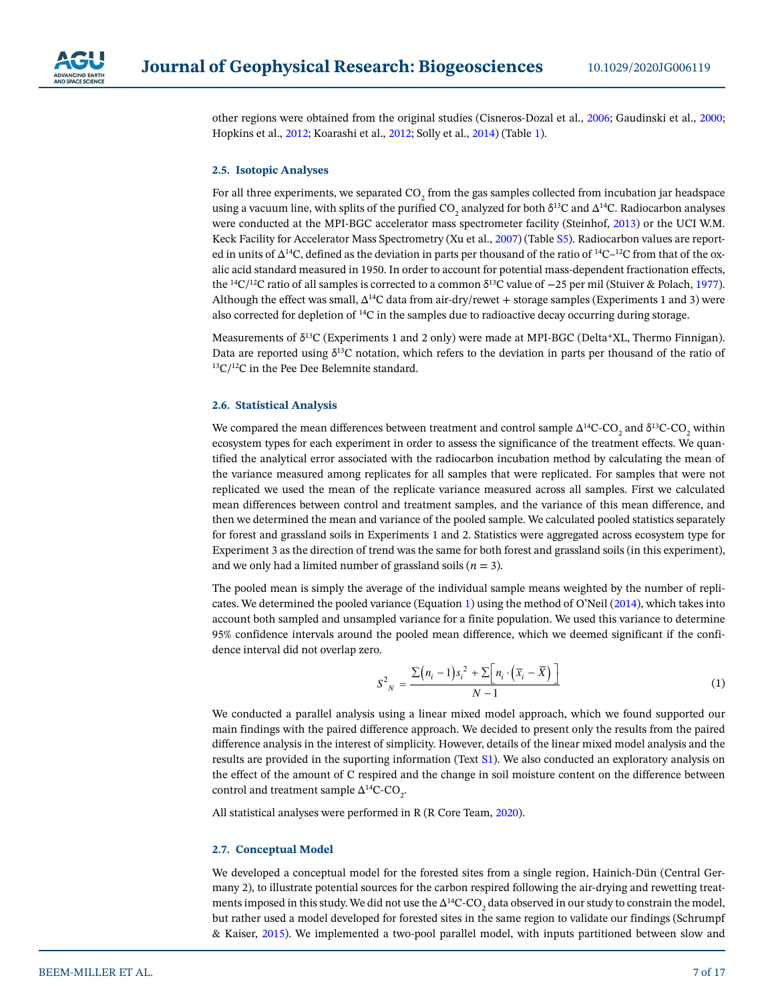

other regions were obtained from the original studies (Cisneros-Dozal et al., [2006;](#page-15-13) Gaudinski et al., [2000](#page-15-11); Hopkins et al., [2012](#page-15-14); Koarashi et al., [2012;](#page-15-15) Solly et al., [2014](#page-16-6)) (Table [1](#page-3-0)).

#### **2.5. Isotopic Analyses**

For all three experiments, we separated  $\mathrm{CO}_2$  from the gas samples collected from incubation jar headspace using a vacuum line, with splits of the purified CO<sub>2</sub> analyzed for both  $\delta^{13}$ C and  $\Delta^{14}$ C. Radiocarbon analyses were conducted at the MPI-BGC accelerator mass spectrometer facility (Steinhof, [2013](#page-16-8)) or the UCI W.M. Keck Facility for Accelerator Mass Spectrometry (Xu et al., [2007](#page-16-9)) (Table S5). Radiocarbon values are reported in units of ∆14C, defined as the deviation in parts per thousand of the ratio of 14C–12C from that of the oxalic acid standard measured in 1950. In order to account for potential mass-dependent fractionation effects, the 14C/12C ratio of all samples is corrected to a common δ13C value of −25 per mil (Stuiver & Polach, [1977](#page-16-10)). Although the effect was small, ∆14C data from air-dry/rewet + storage samples (Experiments 1 and 3) were also corrected for depletion of 14C in the samples due to radioactive decay occurring during storage.

Measurements of δ13C (Experiments 1 and 2 only) were made at MPI-BGC (Delta+XL, Thermo Finnigan). Data are reported using  $\delta^{13}$ C notation, which refers to the deviation in parts per thousand of the ratio of  $13C/12C$  in the Pee Dee Belemnite standard.

#### **2.6. Statistical Analysis**

We compared the mean differences between treatment and control sample  $\Delta^{14}$ C-CO<sub>2</sub> and  $\delta^{13}$ C-CO<sub>2</sub> within ecosystem types for each experiment in order to assess the significance of the treatment effects. We quantified the analytical error associated with the radiocarbon incubation method by calculating the mean of the variance measured among replicates for all samples that were replicated. For samples that were not replicated we used the mean of the replicate variance measured across all samples. First we calculated mean differences between control and treatment samples, and the variance of this mean difference, and then we determined the mean and variance of the pooled sample. We calculated pooled statistics separately for forest and grassland soils in Experiments 1 and 2. Statistics were aggregated across ecosystem type for Experiment 3 as the direction of trend was the same for both forest and grassland soils (in this experiment), and we only had a limited number of grassland soils  $(n = 3)$ .

The pooled mean is simply the average of the individual sample means weighted by the number of replicates. We determined the pooled variance (Equation [1](#page-6-0)) using the method of O'Neil [\(2014\)](#page-15-17), which takes into account both sampled and unsampled variance for a finite population. We used this variance to determine 95% confidence intervals around the pooled mean difference, which we deemed significant if the confidence interval did not overlap zero.

$$
S_{N}^{2} = \frac{\sum (n_{i}-1)s_{i}^{2} + \sum [n_{i} \cdot (\overline{x}_{i}-\overline{X})]}{N-1}
$$
(1)

<span id="page-6-0"></span>We conducted a parallel analysis using a linear mixed model approach, which we found supported our main findings with the paired difference approach. We decided to present only the results from the paired difference analysis in the interest of simplicity. However, details of the linear mixed model analysis and the results are provided in the suporting information (Text S1). We also conducted an exploratory analysis on the effect of the amount of C respired and the change in soil moisture content on the difference between control and treatment sample  $\Delta^{14}$ C-CO<sub>2</sub>.

All statistical analyses were performed in R (R Core Team, [2020\)](#page-15-18).

#### **2.7. Conceptual Model**

We developed a conceptual model for the forested sites from a single region, Hainich-Dün (Central Germany 2), to illustrate potential sources for the carbon respired following the air-drying and rewetting treatments imposed in this study. We did not use the  $\Delta^{14}$ C-CO<sub>2</sub> data observed in our study to constrain the model, but rather used a model developed for forested sites in the same region to validate our findings (Schrumpf & Kaiser, [2015](#page-16-11)). We implemented a two-pool parallel model, with inputs partitioned between slow and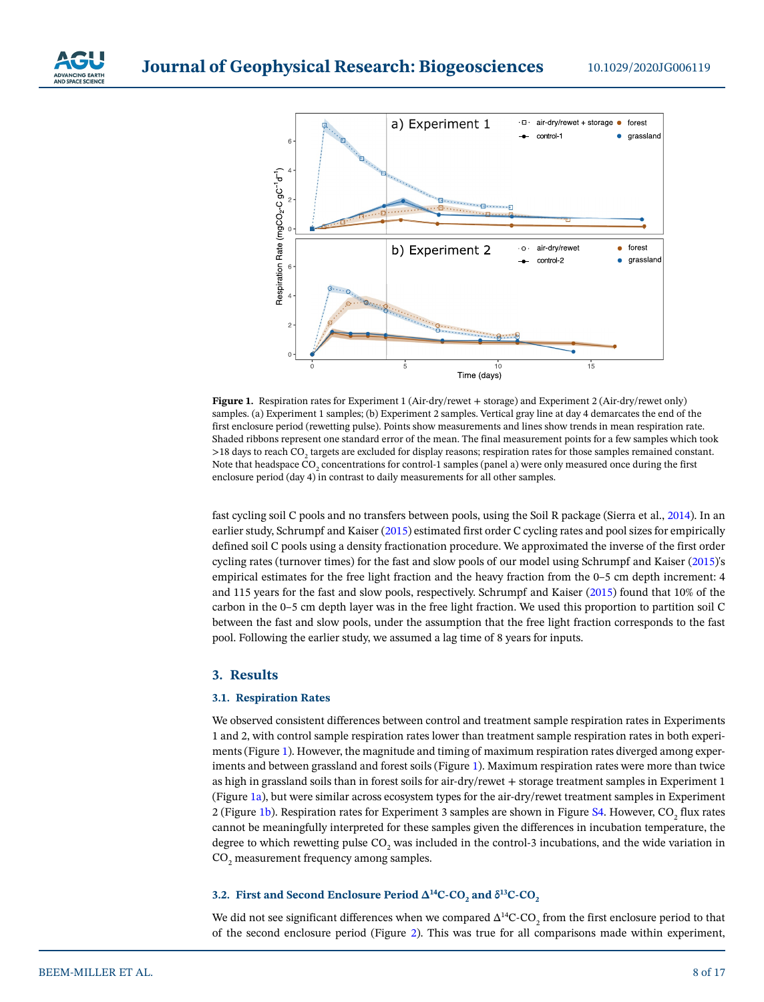



<span id="page-7-0"></span>**Figure 1.** Respiration rates for Experiment 1 (Air-dry/rewet + storage) and Experiment 2 (Air-dry/rewet only) samples. (a) Experiment 1 samples; (b) Experiment 2 samples. Vertical gray line at day 4 demarcates the end of the first enclosure period (rewetting pulse). Points show measurements and lines show trends in mean respiration rate. Shaded ribbons represent one standard error of the mean. The final measurement points for a few samples which took >18 days to reach CO<sub>2</sub> targets are excluded for display reasons; respiration rates for those samples remained constant. Note that headspace CO<sub>2</sub> concentrations for control-1 samples (panel a) were only measured once during the first enclosure period (day 4) in contrast to daily measurements for all other samples.

fast cycling soil C pools and no transfers between pools, using the Soil R package (Sierra et al., [2014](#page-16-12)). In an earlier study, Schrumpf and Kaiser ([2015\)](#page-16-11) estimated first order C cycling rates and pool sizes for empirically defined soil C pools using a density fractionation procedure. We approximated the inverse of the first order cycling rates (turnover times) for the fast and slow pools of our model using Schrumpf and Kaiser [\(2015](#page-16-11))'s empirical estimates for the free light fraction and the heavy fraction from the 0–5 cm depth increment: 4 and 115 years for the fast and slow pools, respectively. Schrumpf and Kaiser [\(2015\)](#page-16-11) found that 10% of the carbon in the 0–5 cm depth layer was in the free light fraction. We used this proportion to partition soil C between the fast and slow pools, under the assumption that the free light fraction corresponds to the fast pool. Following the earlier study, we assumed a lag time of 8 years for inputs.

#### **3. Results**

#### **3.1. Respiration Rates**

We observed consistent differences between control and treatment sample respiration rates in Experiments 1 and 2, with control sample respiration rates lower than treatment sample respiration rates in both experiments (Figure [1](#page-7-0)). However, the magnitude and timing of maximum respiration rates diverged among experiments and between grassland and forest soils (Figure [1](#page-7-0)). Maximum respiration rates were more than twice as high in grassland soils than in forest soils for air-dry/rewet + storage treatment samples in Experiment 1 (Figure [1a\)](#page-7-0), but were similar across ecosystem types for the air-dry/rewet treatment samples in Experiment 2 (Figure [1b](#page-7-0)). Respiration rates for Experiment 3 samples are shown in Figure S4. However,  $\mathrm{CO}_2$  flux rates cannot be meaningfully interpreted for these samples given the differences in incubation temperature, the degree to which rewetting pulse CO<sub>2</sub> was included in the control-3 incubations, and the wide variation in  $\mathrm{CO}_2$  measurement frequency among samples.

# **3.2. First and Second Enclosure Period Δ<sup>14</sup>C-CO<sub>2</sub> and δ<sup>13</sup>C-CO<sub>2</sub>**

We did not see significant differences when we compared  $\Delta^{14}$ C-CO<sub>2</sub> from the first enclosure period to that of the second enclosure period (Figure [2\)](#page-8-0). This was true for all comparisons made within experiment,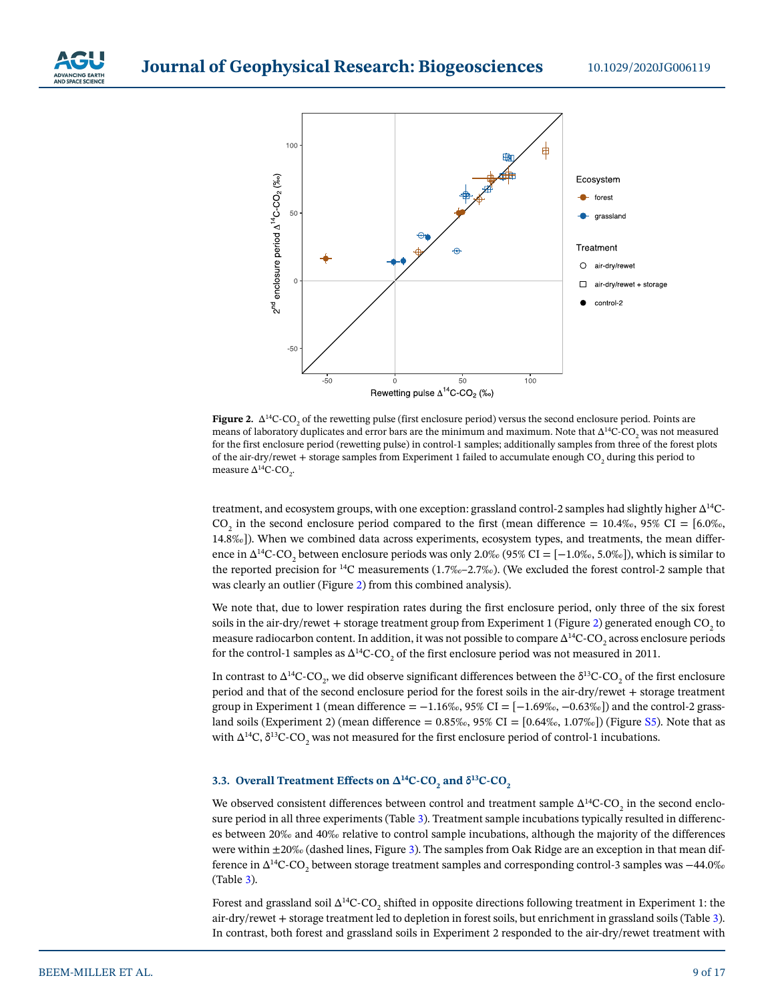



<span id="page-8-0"></span>**Figure 2.** ∆<sup>14</sup>C-CO<sub>2</sub> of the rewetting pulse (first enclosure period) versus the second enclosure period. Points are means of laboratory duplicates and error bars are the minimum and maximum. Note that ∆<sup>14</sup>C-CO<sub>2</sub> was not measured for the first enclosure period (rewetting pulse) in control-1 samples; additionally samples from three of the forest plots of the air-dry/rewet + storage samples from Experiment 1 failed to accumulate enough CO<sub>2</sub> during this period to measure ∆<sup>14</sup>C-CO<sub>2</sub>.

treatment, and ecosystem groups, with one exception: grassland control-2 samples had slightly higher ∆14C- $CO_2$  in the second enclosure period compared to the first (mean difference = 10.4‰, 95% CI = [6.0‰, 14.8‰]). When we combined data across experiments, ecosystem types, and treatments, the mean difference in ∆<sup>14</sup>C-CO<sub>2</sub> between enclosure periods was only 2.0‰ (95% CI = [−1.0‰, 5.0‰]), which is similar to the reported precision for <sup>14</sup>C measurements  $(1.7\%(-2.7\%)$ . (We excluded the forest control-2 sample that was clearly an outlier (Figure [2\)](#page-8-0) from this combined analysis).

We note that, due to lower respiration rates during the first enclosure period, only three of the six forest soils in the air-dry/rewet + storage treatment group from Experiment 1 (Figure [2\)](#page-8-0) generated enough CO<sub>2</sub> to measure radiocarbon content. In addition, it was not possible to compare  $\Delta^{14}$ C-CO<sub>2</sub> across enclosure periods for the control-1 samples as  $\Delta^{14}$ C-CO<sub>2</sub> of the first enclosure period was not measured in 2011.

In contrast to Δ<sup>14</sup>C-CO<sub>2</sub>, we did observe significant differences between the δ<sup>13</sup>C-CO<sub>2</sub> of the first enclosure period and that of the second enclosure period for the forest soils in the air-dry/rewet + storage treatment group in Experiment 1 (mean difference =  $-1.16\%$ , 95% CI = [ $-1.69\%$ ,  $-0.63\%$ ]) and the control-2 grassland soils (Experiment 2) (mean difference =  $0.85\%$ ,  $95\%$  CI =  $[0.64\%$ ,  $1.07\%$ ) (Figure S5). Note that as with Δ<sup>14</sup>C, δ<sup>13</sup>C-CO<sub>2</sub> was not measured for the first enclosure period of control-1 incubations.

# **3.3.** Overall Treatment Effects on  $\Delta^{14}$ C-CO<sub>2</sub> and δ<sup>13</sup>C-CO<sub>2</sub>

We observed consistent differences between control and treatment sample  $\Delta^{14}$ C-CO<sub>2</sub> in the second enclosure period in all three experiments (Table [3](#page-9-0)). Treatment sample incubations typically resulted in differences between 20‰ and 40‰ relative to control sample incubations, although the majority of the differences were within ±20‰ (dashed lines, Figure [3](#page-10-0)). The samples from Oak Ridge are an exception in that mean difference in ∆ $^{14}$ C-CO<sub>2</sub> between storage treatment samples and corresponding control-3 samples was −44.0‰ (Table [3](#page-9-0)).

Forest and grassland soil  $\Delta^{14}$ C-CO<sub>2</sub> shifted in opposite directions following treatment in Experiment 1: the air-dry/rewet + storage treatment led to depletion in forest soils, but enrichment in grassland soils (Table [3](#page-9-0)). In contrast, both forest and grassland soils in Experiment 2 responded to the air-dry/rewet treatment with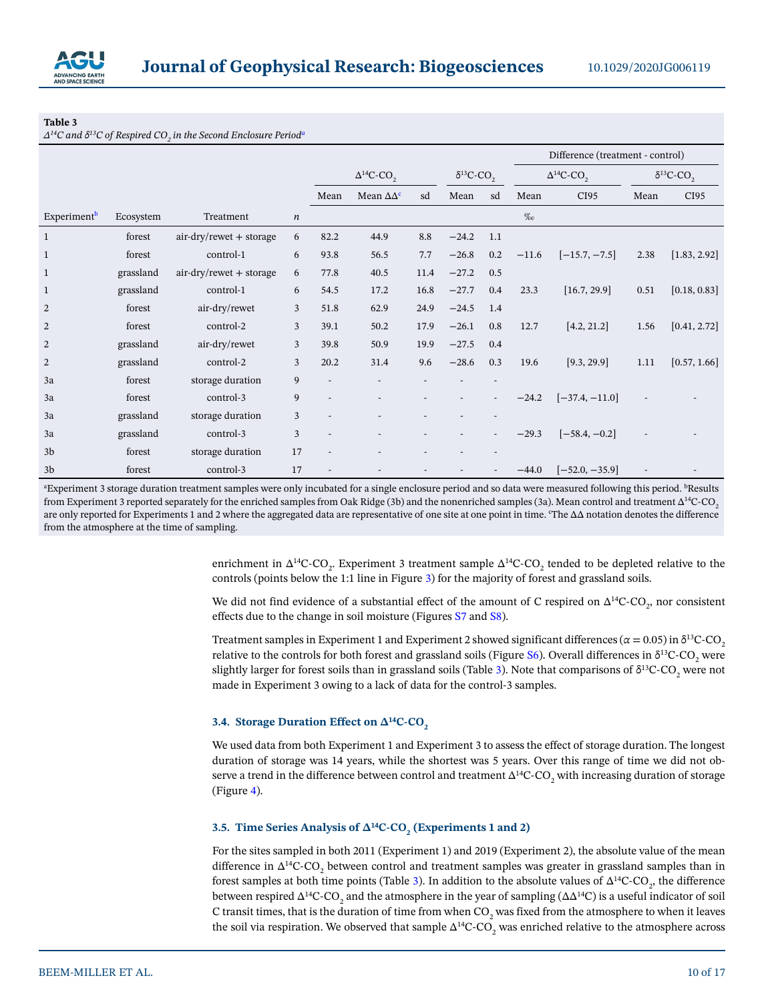

#### <span id="page-9-0"></span>**Table 3**

 $\Delta^{14}$ C and δ $^{13}$ C of Respired CO<sub>2</sub> in the Second Enclosure Period<sup>a</sup>

|                         |           |                           |                  |                                 |                       |                                 |         |     |                                 | Difference (treatment - control) |      |              |  |
|-------------------------|-----------|---------------------------|------------------|---------------------------------|-----------------------|---------------------------------|---------|-----|---------------------------------|----------------------------------|------|--------------|--|
|                         |           |                           |                  | $\Delta^{14}$ C-CO <sub>2</sub> |                       | $\delta^{13}$ C-CO <sub>2</sub> |         |     | $\Delta^{14}$ C-CO <sub>2</sub> | $\delta^{13}$ C-CO <sub>2</sub>  |      |              |  |
|                         |           |                           |                  | Mean                            | Mean $\Delta\Delta^c$ | sd                              | Mean    | sd  | Mean                            | CI95                             | Mean | CI95         |  |
| Experiment <sup>b</sup> | Ecosystem | Treatment                 | $\boldsymbol{n}$ |                                 |                       |                                 |         |     | $\%$                            |                                  |      |              |  |
| $\mathbf{1}$            | forest    | $air-dry/rewet + storage$ | 6                | 82.2                            | 44.9                  | 8.8                             | $-24.2$ | 1.1 |                                 |                                  |      |              |  |
| $\mathbf{1}$            | forest    | control-1                 | 6                | 93.8                            | 56.5                  | 7.7                             | $-26.8$ | 0.2 | $-11.6$                         | $[-15.7, -7.5]$                  | 2.38 | [1.83, 2.92] |  |
| $\mathbf{1}$            | grassland | $air-dry/rewet + storage$ | 6                | 77.8                            | 40.5                  | 11.4                            | $-27.2$ | 0.5 |                                 |                                  |      |              |  |
| $\mathbf{1}$            | grassland | control-1                 | 6                | 54.5                            | 17.2                  | 16.8                            | $-27.7$ | 0.4 | 23.3                            | [16.7, 29.9]                     | 0.51 | [0.18, 0.83] |  |
| 2                       | forest    | air-dry/rewet             | 3                | 51.8                            | 62.9                  | 24.9                            | $-24.5$ | 1.4 |                                 |                                  |      |              |  |
| $\overline{2}$          | forest    | control-2                 | 3                | 39.1                            | 50.2                  | 17.9                            | $-26.1$ | 0.8 | 12.7                            | [4.2, 21.2]                      | 1.56 | [0.41, 2.72] |  |
| 2                       | grassland | air-dry/rewet             | 3                | 39.8                            | 50.9                  | 19.9                            | $-27.5$ | 0.4 |                                 |                                  |      |              |  |
| $\overline{2}$          | grassland | control-2                 | 3                | 20.2                            | 31.4                  | 9.6                             | $-28.6$ | 0.3 | 19.6                            | [9.3, 29.9]                      | 1.11 | [0.57, 1.66] |  |
| 3a                      | forest    | storage duration          | 9                |                                 |                       |                                 |         |     |                                 |                                  |      |              |  |
| 3a                      | forest    | control-3                 | 9                |                                 |                       |                                 |         |     | $-24.2$                         | $[-37.4, -11.0]$                 |      |              |  |
| 3a                      | grassland | storage duration          | 3                |                                 |                       |                                 |         |     |                                 |                                  |      |              |  |
| 3a                      | grassland | control-3                 | 3                |                                 |                       |                                 |         |     | $-29.3$                         | $[-58.4, -0.2]$                  |      |              |  |
| 3 <sub>b</sub>          | forest    | storage duration          | 17               |                                 |                       |                                 |         |     |                                 |                                  |      |              |  |
| 3 <sub>b</sub>          | forest    | control-3                 | 17               |                                 |                       |                                 |         |     | $-44.0$                         | $[-52.0, -35.9]$                 |      |              |  |

<sup>a</sup>Experiment 3 storage duration treatment samples were only incubated for a single enclosure period and so data were measured following this period. <sup>b</sup>Results from Experiment 3 reported separately for the enriched samples from Oak Ridge (3b) and the nonenriched samples (3a). Mean control and treatment ∆<sup>14</sup>C-CO<sub>2</sub> are only reported for Experiments 1 and 2 where the aggregated data are representative of one site at one point in time. °The ∆∆ notation denotes the difference from the atmosphere at the time of sampling.

> enrichment in  $\Delta^{14}$ C-CO<sub>2</sub>. Experiment 3 treatment sample  $\Delta^{14}$ C-CO<sub>2</sub> tended to be depleted relative to the controls (points below the 1:1 line in Figure [3](#page-10-0)) for the majority of forest and grassland soils.

> We did not find evidence of a substantial effect of the amount of C respired on  $\Delta^{14}$ C-CO<sub>2</sub>, nor consistent effects due to the change in soil moisture (Figures S7 and S8).

> Treatment samples in Experiment 1 and Experiment 2 showed significant differences ( $\alpha$  = 0.05) in  $\delta^{13}$ C-CO<sub>2</sub> relative to the controls for both forest and grassland soils (Figure S6). Overall differences in  $\delta^{13}$ C-CO<sub>2</sub> were slightly larger for forest soils than in grassland soils (Table [3\)](#page-9-0). Note that comparisons of  $\delta^{13}$ C-CO<sub>2</sub> were not made in Experiment 3 owing to a lack of data for the control-3 samples.

#### **3.4. Storage Duration Effect on Δ<sup>14</sup>C-CO<sub>2</sub>**

We used data from both Experiment 1 and Experiment 3 to assess the effect of storage duration. The longest duration of storage was 14 years, while the shortest was 5 years. Over this range of time we did not observe a trend in the difference between control and treatment  $\Delta^{14}$ C-CO<sub>2</sub> with increasing duration of storage (Figure [4\)](#page-10-1).

# **3.5. Time Series Analysis of Δ<sup>14</sup>C-CO<sub>2</sub> (Experiments 1 and 2)**

For the sites sampled in both 2011 (Experiment 1) and 2019 (Experiment 2), the absolute value of the mean difference in  $\Delta^{14}$ C-CO<sub>2</sub> between control and treatment samples was greater in grassland samples than in forest samples at both time points (Table [3](#page-9-0)). In addition to the absolute values of  $\Delta^{14}C\text{-}CO}_{2}$ , the difference between respired  $\Delta^{14}C\text{-}CO_{2}$  and the atmosphere in the year of sampling ( $\Delta\Delta^{14}C$ ) is a useful indicator of soil C transit times, that is the duration of time from when  $\mathrm{CO}_2$  was fixed from the atmosphere to when it leaves the soil via respiration. We observed that sample  $\Delta^{14}$ C-CO<sub>2</sub> was enriched relative to the atmosphere across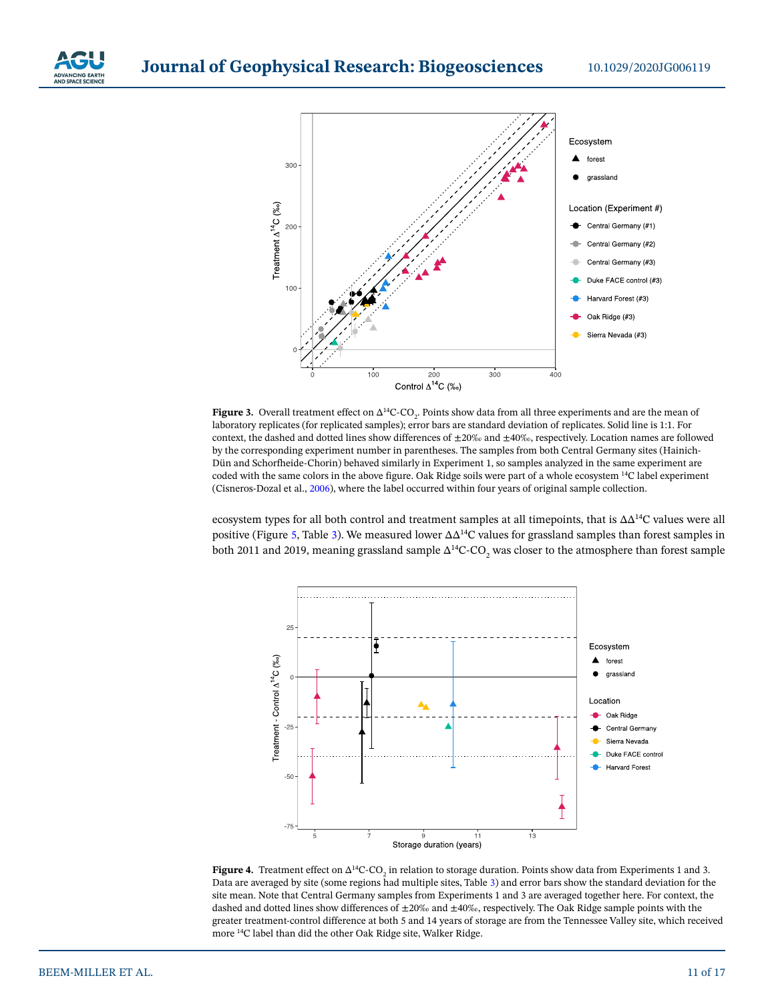

# **Journal of Geophysical Research: Biogeosciences**



<span id="page-10-0"></span>**Figure 3.** Overall treatment effect on  $\Delta^{14}C$ -CO<sub>2</sub>. Points show data from all three experiments and are the mean of laboratory replicates (for replicated samples); error bars are standard deviation of replicates. Solid line is 1:1. For context, the dashed and dotted lines show differences of  $\pm 20\%$  and  $\pm 40\%$ , respectively. Location names are followed by the corresponding experiment number in parentheses. The samples from both Central Germany sites (Hainich-Dün and Schorfheide-Chorin) behaved similarly in Experiment 1, so samples analyzed in the same experiment are coded with the same colors in the above figure. Oak Ridge soils were part of a whole ecosystem 14C label experiment (Cisneros-Dozal et al., [2006](#page-15-13)), where the label occurred within four years of original sample collection.

ecosystem types for all both control and treatment samples at all timepoints, that is ∆∆14C values were all positive (Figure [5](#page-11-0), Table [3](#page-9-0)). We measured lower ∆∆14C values for grassland samples than forest samples in both 2011 and 2019, meaning grassland sample  $\Delta^{14}$ C-CO<sub>2</sub> was closer to the atmosphere than forest sample



<span id="page-10-1"></span>**Figure 4.** Treatment effect on  $\Delta^{14}C$ -CO<sub>2</sub> in relation to storage duration. Points show data from Experiments 1 and 3. Data are averaged by site (some regions had multiple sites, Table [3\)](#page-9-0) and error bars show the standard deviation for the site mean. Note that Central Germany samples from Experiments 1 and 3 are averaged together here. For context, the dashed and dotted lines show differences of  $\pm 20\%$  and  $\pm 40\%$ , respectively. The Oak Ridge sample points with the greater treatment-control difference at both 5 and 14 years of storage are from the Tennessee Valley site, which received more 14C label than did the other Oak Ridge site, Walker Ridge.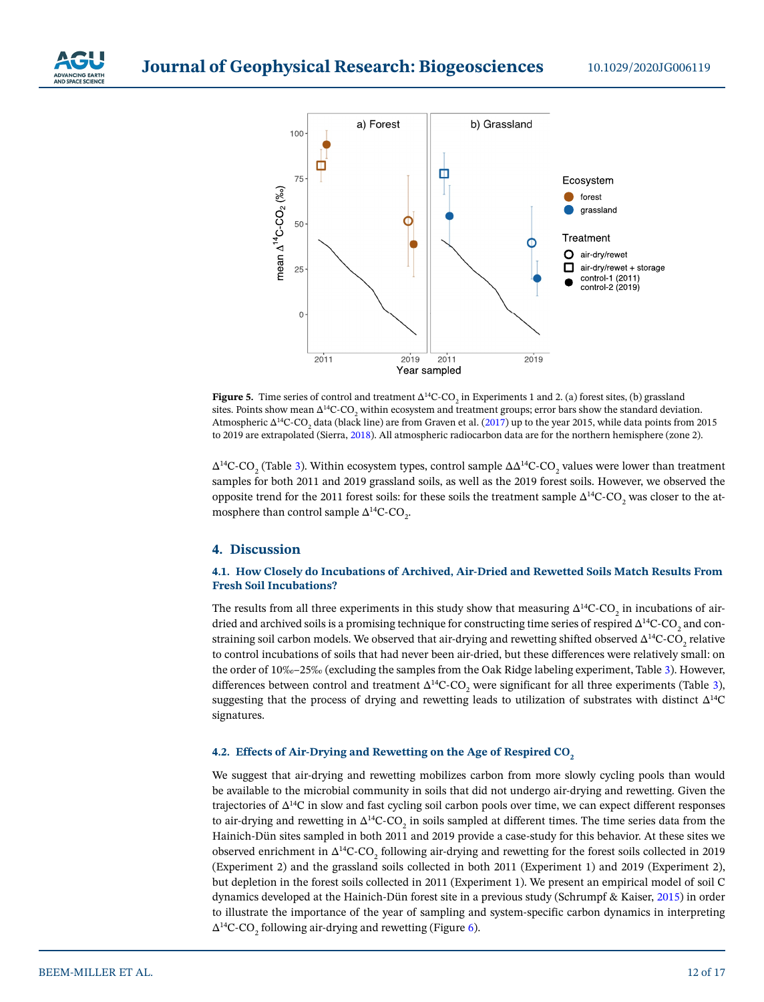



<span id="page-11-0"></span>**Figure 5.** Time series of control and treatment  $\Delta^{14}C$ -CO<sub>2</sub> in Experiments 1 and 2. (a) forest sites, (b) grassland sites. Points show mean  $\Delta^{14}C$ -CO<sub>2</sub> within ecosystem and treatment groups; error bars show the standard deviation. Atmospheric ∆<sup>14</sup>C-CO<sub>2</sub> data (black line) are from Graven et al. ([2017](#page-15-19)) up to the year 2015, while data points from 2015 to 2019 are extrapolated (Sierra, [2018\)](#page-16-13). All atmospheric radiocarbon data are for the northern hemisphere (zone 2).

∆<sup>14</sup>C-CO<sub>2</sub> (Table [3](#page-9-0)). Within ecosystem types, control sample ∆∆<sup>14</sup>C-CO<sub>2</sub> values were lower than treatment samples for both 2011 and 2019 grassland soils, as well as the 2019 forest soils. However, we observed the opposite trend for the 2011 forest soils: for these soils the treatment sample  $\Delta^{14}$ C-CO<sub>2</sub> was closer to the atmosphere than control sample  $\Delta^{14}$ C-CO<sub>2</sub>.

# **4. Discussion**

#### **4.1. How Closely do Incubations of Archived, Air-Dried and Rewetted Soils Match Results From Fresh Soil Incubations?**

The results from all three experiments in this study show that measuring ∆<sup>14</sup>C-CO<sub>2</sub> in incubations of airdried and archived soils is a promising technique for constructing time series of respired  $\Delta^{14}$ C-CO $_2$  and constraining soil carbon models. We observed that air-drying and rewetting shifted observed  $\Delta^{14}\text{C-CO}_2$  relative to control incubations of soils that had never been air-dried, but these differences were relatively small: on the order of 10‰–25‰ (excluding the samples from the Oak Ridge labeling experiment, Table [3](#page-9-0)). However, differences between control and treatment  $\Delta^{14}$ C-CO<sub>2</sub> were significant for all three experiments (Table [3](#page-9-0)), suggesting that the process of drying and rewetting leads to utilization of substrates with distinct  $\Delta^{14}C$ signatures.

#### **4.2. Effects of Air-Drying and Rewetting on the Age of Respired CO<sub>2</sub>**

We suggest that air-drying and rewetting mobilizes carbon from more slowly cycling pools than would be available to the microbial community in soils that did not undergo air-drying and rewetting. Given the trajectories of ∆14C in slow and fast cycling soil carbon pools over time, we can expect different responses to air-drying and rewetting in  $\Delta^{14}$ C-CO<sub>2</sub> in soils sampled at different times. The time series data from the Hainich-Dün sites sampled in both 2011 and 2019 provide a case-study for this behavior. At these sites we observed enrichment in ∆<sup>14</sup>C-CO<sub>2</sub> following air-drying and rewetting for the forest soils collected in 2019 (Experiment 2) and the grassland soils collected in both 2011 (Experiment 1) and 2019 (Experiment 2), but depletion in the forest soils collected in 2011 (Experiment 1). We present an empirical model of soil C dynamics developed at the Hainich-Dün forest site in a previous study (Schrumpf & Kaiser, [2015\)](#page-16-11) in order to illustrate the importance of the year of sampling and system-specific carbon dynamics in interpreting  $\Delta^{14}$ C-CO<sub>2</sub> following air-drying and rewetting (Figure [6\)](#page-12-0).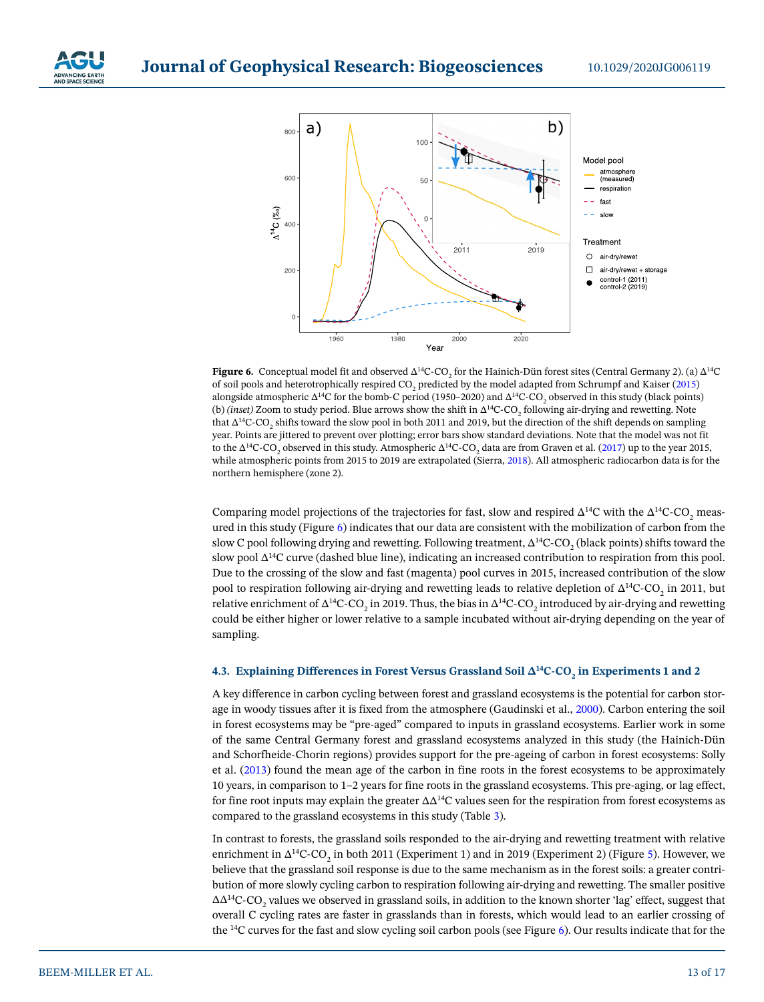



<span id="page-12-0"></span>**Figure 6.** Conceptual model fit and observed  $\Delta^{14}C$ -CO<sub>2</sub> for the Hainich-Dün forest sites (Central Germany 2). (a)  $\Delta^{14}C$ of soil pools and heterotrophically respired CO<sub>2</sub> predicted by the model adapted from Schrumpf and Kaiser ([2015\)](#page-16-11) alongside atmospheric ∆<sup>14</sup>C for the bomb-C period (1950–2020) and ∆<sup>14</sup>C-CO<sub>2</sub> observed in this study (black points) (b) *(inset)* Zoom to study period. Blue arrows show the shift in Δ<sup>14</sup>C-CO<sub>2</sub> following air-drying and rewetting. Note that Δ<sup>14</sup>C-CO<sub>2</sub> shifts toward the slow pool in both 2011 and 2019, but the direction of the shift depends on sampling year. Points are jittered to prevent over plotting; error bars show standard deviations. Note that the model was not fit to the Δ<sup>14</sup>C-CO<sub>2</sub> observed in this study. Atmospheric Δ<sup>14</sup>C-CO<sub>2</sub> data are from Graven et al. ([2017](#page-15-19)) up to the year 2015, while atmospheric points from 2015 to 2019 are extrapolated (Sierra, [2018\)](#page-16-13). All atmospheric radiocarbon data is for the northern hemisphere (zone 2).

Comparing model projections of the trajectories for fast, slow and respired  $\Delta^{14}C$  with the  $\Delta^{14}C$ -CO<sub>2</sub> measured in this study (Figure [6\)](#page-12-0) indicates that our data are consistent with the mobilization of carbon from the slow C pool following drying and rewetting. Following treatment,  $\Delta^{14}$ C-CO<sub>2</sub> (black points) shifts toward the slow pool ∆<sup>14</sup>C curve (dashed blue line), indicating an increased contribution to respiration from this pool. Due to the crossing of the slow and fast (magenta) pool curves in 2015, increased contribution of the slow pool to respiration following air-drying and rewetting leads to relative depletion of  $\Delta^{14}\text{C-CO}_2$  in 2011, but relative enrichment of Δ $^4$ C-CO<sub>2</sub> in 2019. Thus, the bias in Δ $^4$ C-CO<sub>2</sub> introduced by air-drying and rewetting could be either higher or lower relative to a sample incubated without air-drying depending on the year of sampling.

# **4.3.** Explaining Differences in Forest Versus Grassland Soil Δ<sup>14</sup>C-CO<sub>2</sub> in Experiments 1 and 2

A key difference in carbon cycling between forest and grassland ecosystems is the potential for carbon storage in woody tissues after it is fixed from the atmosphere (Gaudinski et al., [2000\)](#page-15-11). Carbon entering the soil in forest ecosystems may be "pre-aged" compared to inputs in grassland ecosystems. Earlier work in some of the same Central Germany forest and grassland ecosystems analyzed in this study (the Hainich-Dün and Schorfheide-Chorin regions) provides support for the pre-ageing of carbon in forest ecosystems: Solly et al. ([2013\)](#page-16-14) found the mean age of the carbon in fine roots in the forest ecosystems to be approximately 10 years, in comparison to 1–2 years for fine roots in the grassland ecosystems. This pre-aging, or lag effect, for fine root inputs may explain the greater ∆∆14C values seen for the respiration from forest ecosystems as compared to the grassland ecosystems in this study (Table [3\)](#page-9-0).

In contrast to forests, the grassland soils responded to the air-drying and rewetting treatment with relative enrichment in ∆<sup>14</sup>C-CO<sub>2</sub> in both 2011 (Experiment 1) and in 2019 (Experiment 2) (Figure [5\)](#page-11-0). However, we believe that the grassland soil response is due to the same mechanism as in the forest soils: a greater contribution of more slowly cycling carbon to respiration following air-drying and rewetting. The smaller positive ∆∆<sup>14</sup>C-CO<sub>2</sub> values we observed in grassland soils, in addition to the known shorter 'lag' effect, suggest that overall C cycling rates are faster in grasslands than in forests, which would lead to an earlier crossing of the 14C curves for the fast and slow cycling soil carbon pools (see Figure [6\)](#page-12-0). Our results indicate that for the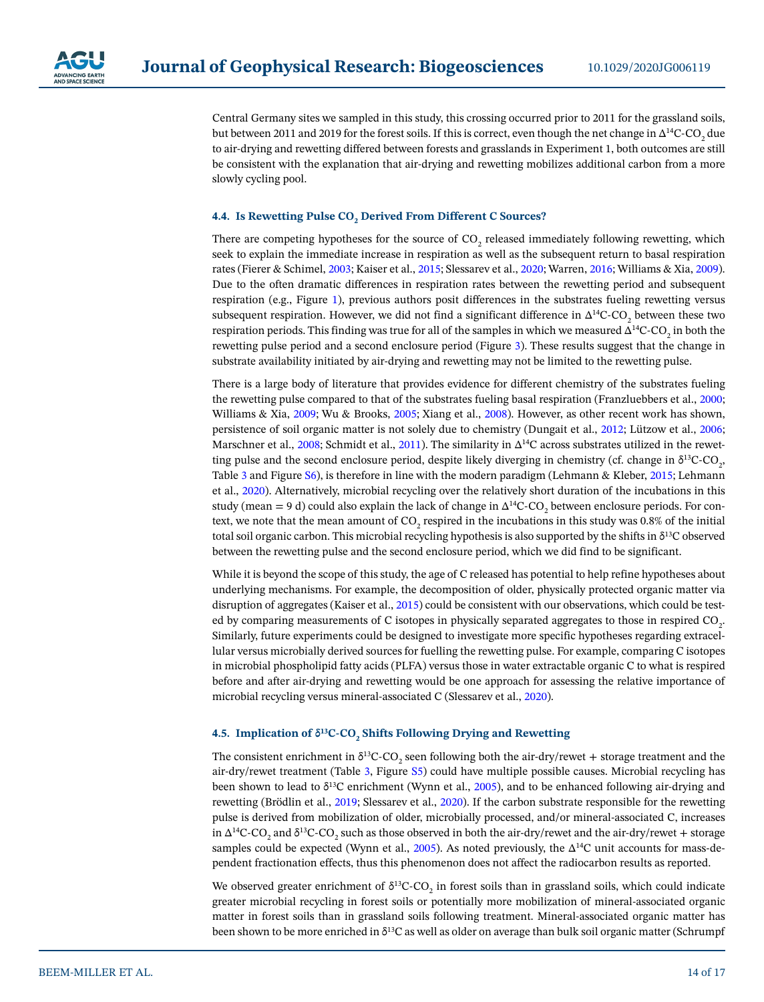

Central Germany sites we sampled in this study, this crossing occurred prior to 2011 for the grassland soils, but between 2011 and 2019 for the forest soils. If this is correct, even though the net change in  $\Delta^{14}$ C-CO<sub>2</sub> due to air-drying and rewetting differed between forests and grasslands in Experiment 1, both outcomes are still be consistent with the explanation that air-drying and rewetting mobilizes additional carbon from a more slowly cycling pool.

# **4.4. Is Rewetting Pulse CO<sub>2</sub> Derived From Different C Sources?**

There are competing hypotheses for the source of  $CO_2$  released immediately following rewetting, which seek to explain the immediate increase in respiration as well as the subsequent return to basal respiration rates (Fierer & Schimel, [2003](#page-15-4); Kaiser et al., [2015;](#page-15-5) Slessarev et al., [2020](#page-16-5); Warren, [2016;](#page-16-3) Williams & Xia, [2009](#page-16-4)). Due to the often dramatic differences in respiration rates between the rewetting period and subsequent respiration (e.g., Figure [1\)](#page-7-0), previous authors posit differences in the substrates fueling rewetting versus subsequent respiration. However, we did not find a significant difference in  $\Delta^{14}$ C-CO<sub>2</sub> between these two respiration periods. This finding was true for all of the samples in which we measured  $\Delta^{14}$ C-CO<sub>2</sub> in both the rewetting pulse period and a second enclosure period (Figure [3](#page-10-0)). These results suggest that the change in substrate availability initiated by air-drying and rewetting may not be limited to the rewetting pulse.

There is a large body of literature that provides evidence for different chemistry of the substrates fueling the rewetting pulse compared to that of the substrates fueling basal respiration (Franzluebbers et al., [2000](#page-15-20); Williams & Xia, [2009;](#page-16-4) Wu & Brooks, [2005;](#page-16-15) Xiang et al., [2008](#page-16-16)). However, as other recent work has shown, persistence of soil organic matter is not solely due to chemistry (Dungait et al., [2012;](#page-15-21) Lützow et al., [2006](#page-15-22); Marschner et al., [2008;](#page-15-23) Schmidt et al., [2011](#page-15-24)). The similarity in ∆<sup>14</sup>C across substrates utilized in the rewetting pulse and the second enclosure period, despite likely diverging in chemistry (cf. change in  $\delta^{13}$ C-CO<sub>2</sub>, Table [3](#page-9-0) and Figure S6), is therefore in line with the modern paradigm (Lehmann & Kleber, [2015](#page-15-25); Lehmann et al., [2020](#page-15-26)). Alternatively, microbial recycling over the relatively short duration of the incubations in this study (mean = 9 d) could also explain the lack of change in  $\Delta^{14}$ C-CO<sub>2</sub> between enclosure periods. For context, we note that the mean amount of CO<sub>2</sub> respired in the incubations in this study was 0.8% of the initial total soil organic carbon. This microbial recycling hypothesis is also supported by the shifts in δ<sup>13</sup>C observed between the rewetting pulse and the second enclosure period, which we did find to be significant.

While it is beyond the scope of this study, the age of C released has potential to help refine hypotheses about underlying mechanisms. For example, the decomposition of older, physically protected organic matter via disruption of aggregates (Kaiser et al., [2015](#page-15-5)) could be consistent with our observations, which could be tested by comparing measurements of C isotopes in physically separated aggregates to those in respired CO<sub>2</sub>. Similarly, future experiments could be designed to investigate more specific hypotheses regarding extracellular versus microbially derived sources for fuelling the rewetting pulse. For example, comparing C isotopes in microbial phospholipid fatty acids (PLFA) versus those in water extractable organic C to what is respired before and after air-drying and rewetting would be one approach for assessing the relative importance of microbial recycling versus mineral-associated C (Slessarev et al., [2020](#page-16-5)).

# **4.5. Implication of δ<sup>13</sup>C-CO<sub>2</sub> Shifts Following Drying and Rewetting**

The consistent enrichment in  $\delta^{13}C$ -CO<sub>2</sub> seen following both the air-dry/rewet + storage treatment and the air-dry/rewet treatment (Table [3](#page-9-0), Figure S5) could have multiple possible causes. Microbial recycling has been shown to lead to  $\delta^{13}C$  enrichment (Wynn et al., [2005\)](#page-16-17), and to be enhanced following air-drying and rewetting (Brödlin et al., [2019](#page-15-27); Slessarev et al., [2020](#page-16-5)). If the carbon substrate responsible for the rewetting pulse is derived from mobilization of older, microbially processed, and/or mineral-associated C, increases in Δ<sup>14</sup>C-CO<sub>2</sub> and δ<sup>13</sup>C-CO<sub>2</sub> such as those observed in both the air-dry/rewet and the air-dry/rewet + storage samples could be expected (Wynn et al., [2005](#page-16-17)). As noted previously, the  $\Delta^{14}C$  unit accounts for mass-dependent fractionation effects, thus this phenomenon does not affect the radiocarbon results as reported.

We observed greater enrichment of  $\delta^{13}$ C-CO<sub>2</sub> in forest soils than in grassland soils, which could indicate greater microbial recycling in forest soils or potentially more mobilization of mineral-associated organic matter in forest soils than in grassland soils following treatment. Mineral-associated organic matter has been shown to be more enriched in  $\delta^{13}C$  as well as older on average than bulk soil organic matter (Schrumpf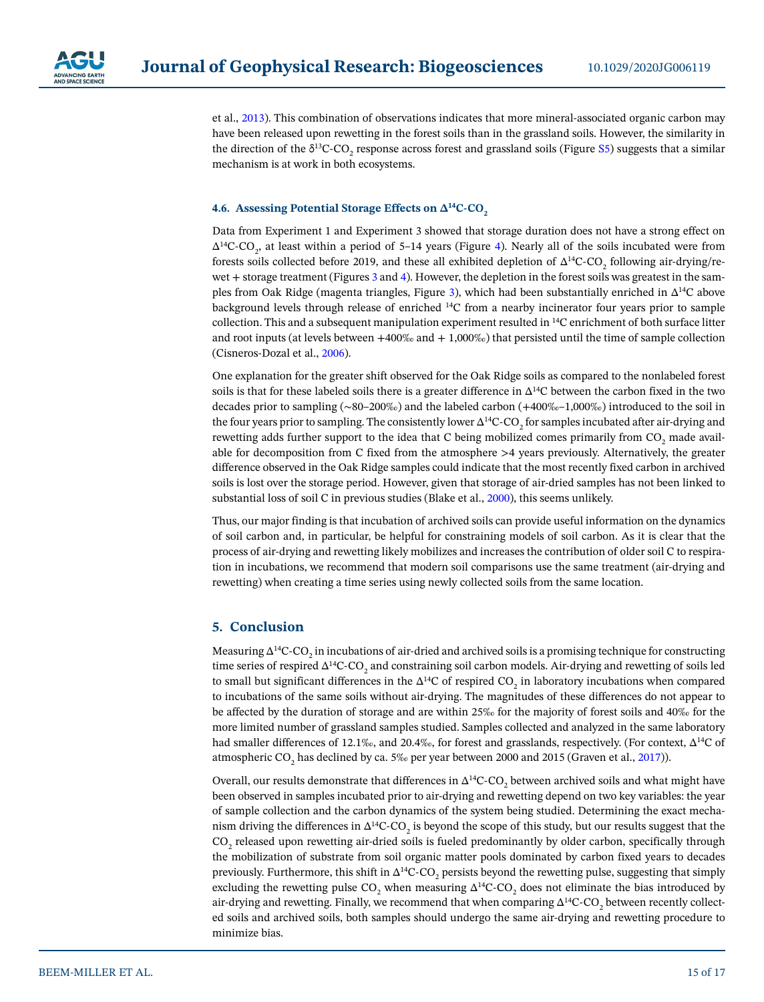

et al., [2013](#page-16-18)). This combination of observations indicates that more mineral-associated organic carbon may have been released upon rewetting in the forest soils than in the grassland soils. However, the similarity in the direction of the  $\delta^{13}C$ -CO<sub>2</sub> response across forest and grassland soils (Figure S5) suggests that a similar mechanism is at work in both ecosystems.

#### **4.6. Assessing Potential Storage Effects on ∆14C-CO2**

Data from Experiment 1 and Experiment 3 showed that storage duration does not have a strong effect on  $\Delta^{14}$ C-CO<sub>2</sub>, at least within a period of 5–14 years (Figure [4\)](#page-10-1). Nearly all of the soils incubated were from forests soils collected before 2019, and these all exhibited depletion of  $\Delta^{14}$ C-CO<sub>2</sub> following air-drying/re-wet + storage treatment (Figures [3](#page-10-0) and [4\)](#page-10-1). However, the depletion in the forest soils was greatest in the samples from Oak Ridge (magenta triangles, Figure [3\)](#page-10-0), which had been substantially enriched in ∆14C above background levels through release of enriched 14C from a nearby incinerator four years prior to sample collection. This and a subsequent manipulation experiment resulted in 14C enrichment of both surface litter and root inputs (at levels between  $+400\%$  and  $+1,000\%$ ) that persisted until the time of sample collection (Cisneros-Dozal et al., [2006\)](#page-15-13).

One explanation for the greater shift observed for the Oak Ridge soils as compared to the nonlabeled forest soils is that for these labeled soils there is a greater difference in ∆14C between the carbon fixed in the two decades prior to sampling (∼80–200‰) and the labeled carbon (+400‰–1,000‰) introduced to the soil in the four years prior to sampling. The consistently lower  $\Delta^{14}$ C-CO<sub>2</sub> for samples incubated after air-drying and rewetting adds further support to the idea that C being mobilized comes primarily from CO<sub>2</sub> made available for decomposition from C fixed from the atmosphere >4 years previously. Alternatively, the greater difference observed in the Oak Ridge samples could indicate that the most recently fixed carbon in archived soils is lost over the storage period. However, given that storage of air-dried samples has not been linked to substantial loss of soil C in previous studies (Blake et al., [2000](#page-15-28)), this seems unlikely.

Thus, our major finding is that incubation of archived soils can provide useful information on the dynamics of soil carbon and, in particular, be helpful for constraining models of soil carbon. As it is clear that the process of air-drying and rewetting likely mobilizes and increases the contribution of older soil C to respiration in incubations, we recommend that modern soil comparisons use the same treatment (air-drying and rewetting) when creating a time series using newly collected soils from the same location.

# **5. Conclusion**

Measuring  $\Delta^{14}$ C-CO<sub>2</sub> in incubations of air-dried and archived soils is a promising technique for constructing time series of respired  $\Delta^{14}$ C-CO<sub>2</sub> and constraining soil carbon models. Air-drying and rewetting of soils led to small but significant differences in the  $\Delta^{14}C$  of respired CO<sub>2</sub> in laboratory incubations when compared to incubations of the same soils without air-drying. The magnitudes of these differences do not appear to be affected by the duration of storage and are within 25‰ for the majority of forest soils and 40‰ for the more limited number of grassland samples studied. Samples collected and analyzed in the same laboratory had smaller differences of 12.1‰, and 20.4‰, for forest and grasslands, respectively. (For context,  $\Delta^{14}C$  of atmospheric CO<sub>2</sub> has declined by ca. 5‰ per year between 2000 and 2015 (Graven et al., [2017\)](#page-15-19)).

Overall, our results demonstrate that differences in  $\Delta^{14}C\text{-}CO_{_2}$  between archived soils and what might have been observed in samples incubated prior to air-drying and rewetting depend on two key variables: the year of sample collection and the carbon dynamics of the system being studied. Determining the exact mechanism driving the differences in  $\Delta^{14}$ C-CO<sub>2</sub> is beyond the scope of this study, but our results suggest that the  $\rm{CO}_{2}$  released upon rewetting air-dried soils is fueled predominantly by older carbon, specifically through the mobilization of substrate from soil organic matter pools dominated by carbon fixed years to decades previously. Furthermore, this shift in  $\Delta^{14}$ C-CO<sub>2</sub> persists beyond the rewetting pulse, suggesting that simply excluding the rewetting pulse CO<sub>2</sub> when measuring  $\Delta^{14}$ C-CO<sub>2</sub> does not eliminate the bias introduced by air-drying and rewetting. Finally, we recommend that when comparing  $\Delta^{14}\text{C}\text{-}\text{CO}_2$  between recently collected soils and archived soils, both samples should undergo the same air-drying and rewetting procedure to minimize bias.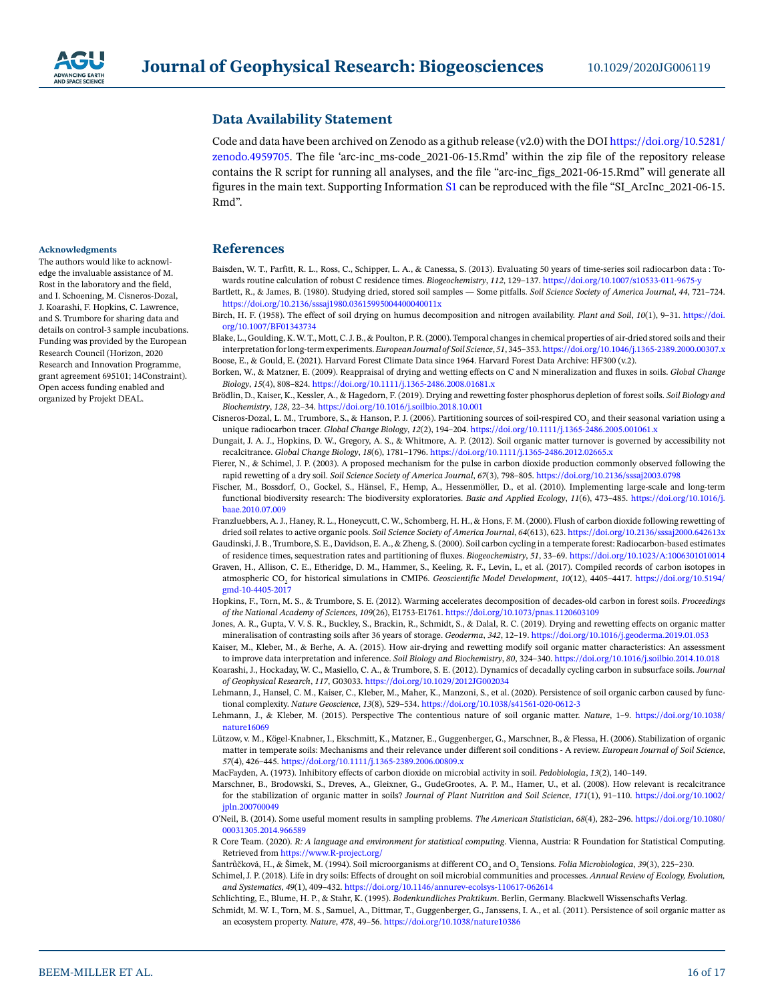

# **Data Availability Statement**

Code and data have been archived on Zenodo as a github release (v2.0) with the DOI [https://doi.org/10.5281/](https://doi.org/10.5281/zenodo.4959705) [zenodo.4959705.](https://doi.org/10.5281/zenodo.4959705) The file 'arc-inc\_ms-code\_2021-06-15.Rmd' within the zip file of the repository release contains the R script for running all analyses, and the file "arc-inc\_figs\_2021-06-15.Rmd" will generate all figures in the main text. Supporting Information S1 can be reproduced with the file "SI\_ArcInc\_2021-06-15. Rmd".

# **References**

- <span id="page-15-0"></span>Baisden, W. T., Parfitt, R. L., Ross, C., Schipper, L. A., & Canessa, S. (2013). Evaluating 50 years of time-series soil radiocarbon data : Towards routine calculation of robust C residence times. *Biogeochemistry*, *112*, 129–137. [https://doi.org/10.1007/s10533-011-9675-y](https://doi.org/10.1007/s10533-011-9675%2Dy)
- <span id="page-15-1"></span>Bartlett, R., & James, B. (1980). Studying dried, stored soil samples — Some pitfalls. *Soil Science Society of America Journal*, *44*, 721–724. <https://doi.org/10.2136/sssaj1980.03615995004400040011x>
- <span id="page-15-3"></span>Birch, H. F. (1958). The effect of soil drying on humus decomposition and nitrogen availability. *Plant and Soil*, *10*(1), 9–31. [https://doi.](https://doi.org/10.1007/BF01343734) [org/10.1007/BF01343734](https://doi.org/10.1007/BF01343734)
- <span id="page-15-28"></span>Blake, L., Goulding, K. W. T., Mott, C. J. B., & Poulton, P. R. (2000). Temporal changes in chemical properties of air-dried stored soils and their interpretation for long-term experiments. *European Journal of Soil Science*, *51*, 345–353.<https://doi.org/10.1046/j.1365-2389.2000.00307.x> Boose, E., & Gould, E. (2021). Harvard Forest Climate Data since 1964. Harvard Forest Data Archive: HF300 (v.2).
- <span id="page-15-12"></span><span id="page-15-6"></span>Borken, W., & Matzner, E. (2009). Reappraisal of drying and wetting effects on C and N mineralization and fluxes in soils. *Global Change Biology*, *15*(4), 808–824. <https://doi.org/10.1111/j.1365-2486.2008.01681.x>
- <span id="page-15-27"></span>Brödlin, D., Kaiser, K., Kessler, A., & Hagedorn, F. (2019). Drying and rewetting foster phosphorus depletion of forest soils. *Soil Biology and Biochemistry*, *128*, 22–34.<https://doi.org/10.1016/j.soilbio.2018.10.001>
- <span id="page-15-13"></span>Cisneros-Dozal, L. M., Trumbore, S., & Hanson, P. J. (2006). Partitioning sources of soil-respired CO<sub>2</sub> and their seasonal variation using a unique radiocarbon tracer. *Global Change Biology*, *12*(2), 194–204.<https://doi.org/10.1111/j.1365-2486.2005.001061.x>
- <span id="page-15-21"></span>Dungait, J. A. J., Hopkins, D. W., Gregory, A. S., & Whitmore, A. P. (2012). Soil organic matter turnover is governed by accessibility not recalcitrance. *Global Change Biology*, *18*(6), 1781–1796.<https://doi.org/10.1111/j.1365-2486.2012.02665.x>
- <span id="page-15-4"></span>Fierer, N., & Schimel, J. P. (2003). A proposed mechanism for the pulse in carbon dioxide production commonly observed following the rapid rewetting of a dry soil. *Soil Science Society of America Journal*, *67*(3), 798–805. <https://doi.org/10.2136/sssaj2003.0798>
- <span id="page-15-8"></span>Fischer, M., Bossdorf, O., Gockel, S., Hänsel, F., Hemp, A., Hessenmöller, D., et al. (2010). Implementing large-scale and long-term functional biodiversity research: The biodiversity exploratories. *Basic and Applied Ecology*, *11*(6), 473–485. [https://doi.org/10.1016/j.](https://doi.org/10.1016/j.baae.2010.07.009) [baae.2010.07.009](https://doi.org/10.1016/j.baae.2010.07.009)
- <span id="page-15-20"></span>Franzluebbers, A. J., Haney, R. L., Honeycutt, C. W., Schomberg, H. H., & Hons, F. M. (2000). Flush of carbon dioxide following rewetting of dried soil relates to active organic pools. *Soil Science Society of America Journal*, *64*(613), 623. <https://doi.org/10.2136/sssaj2000.642613x>
- <span id="page-15-11"></span>Gaudinski, J. B., Trumbore, S. E., Davidson, E. A., & Zheng, S. (2000). Soil carbon cycling in a temperate forest: Radiocarbon-based estimates of residence times, sequestration rates and partitioning of fluxes. *Biogeochemistry*, *51*, 33–69. [https://doi.org/10.1023/A:1006301010014](https://doi.org/10.1023/A%3A1006301010014)
- <span id="page-15-19"></span>Graven, H., Allison, C. E., Etheridge, D. M., Hammer, S., Keeling, R. F., Levin, I., et al. (2017). Compiled records of carbon isotopes in atmospheric CO2 for historical simulations in CMIP6. *Geoscientific Model Development*, *10*(12), 4405–4417. [https://doi.org/10.5194/](https://doi.org/10.5194/gmd%2D10-4405-2017) [gmd-10-4405-2017](https://doi.org/10.5194/gmd%2D10-4405-2017)
- <span id="page-15-14"></span>Hopkins, F., Torn, M. S., & Trumbore, S. E. (2012). Warming accelerates decomposition of decades-old carbon in forest soils. *Proceedings of the National Academy of Sciences*, *109*(26), E1753-E1761.<https://doi.org/10.1073/pnas.1120603109>
- <span id="page-15-2"></span>Jones, A. R., Gupta, V. V. S. R., Buckley, S., Brackin, R., Schmidt, S., & Dalal, R. C. (2019). Drying and rewetting effects on organic matter mineralisation of contrasting soils after 36 years of storage. *Geoderma*, *342*, 12–19. <https://doi.org/10.1016/j.geoderma.2019.01.053>
- <span id="page-15-5"></span>Kaiser, M., Kleber, M., & Berhe, A. A. (2015). How air-drying and rewetting modify soil organic matter characteristics: An assessment to improve data interpretation and inference. *Soil Biology and Biochemistry*, *80*, 324–340.<https://doi.org/10.1016/j.soilbio.2014.10.018>
- <span id="page-15-15"></span>Koarashi, J., Hockaday, W. C., Masiello, C. A., & Trumbore, S. E. (2012). Dynamics of decadally cycling carbon in subsurface soils. *Journal of Geophysical Research*, *117*, G03033.<https://doi.org/10.1029/2012JG002034>
- <span id="page-15-26"></span>Lehmann, J., Hansel, C. M., Kaiser, C., Kleber, M., Maher, K., Manzoni, S., et al. (2020). Persistence of soil organic carbon caused by functional complexity. *Nature Geoscience*, *13*(8), 529–534. <https://doi.org/10.1038/s41561-020-0612-3>
- <span id="page-15-25"></span>Lehmann, J., & Kleber, M. (2015). Perspective The contentious nature of soil organic matter. *Nature*, 1–9. [https://doi.org/10.1038/](https://doi.org/10.1038/nature16069) [nature16069](https://doi.org/10.1038/nature16069)
- <span id="page-15-22"></span>Lützow, v. M., Kögel-Knabner, I., Ekschmitt, K., Matzner, E., Guggenberger, G., Marschner, B., & Flessa, H. (2006). Stabilization of organic matter in temperate soils: Mechanisms and their relevance under different soil conditions - A review. *European Journal of Soil Science*, *57*(4), 426–445.<https://doi.org/10.1111/j.1365-2389.2006.00809.x>
- <span id="page-15-9"></span>MacFayden, A. (1973). Inhibitory effects of carbon dioxide on microbial activity in soil. *Pedobiologia*, *13*(2), 140–149.
- <span id="page-15-23"></span>Marschner, B., Brodowski, S., Dreves, A., Gleixner, G., GudeGrootes, A. P. M., Hamer, U., et al. (2008). How relevant is recalcitrance for the stabilization of organic matter in soils? *Journal of Plant Nutrition and Soil Science*, *171*(1), 91–110. [https://doi.org/10.1002/](https://doi.org/10.1002/jpln.200700049) [jpln.200700049](https://doi.org/10.1002/jpln.200700049)
- <span id="page-15-17"></span>O'Neil, B. (2014). Some useful moment results in sampling problems. *The American Statistician*, *68*(4), 282–296. [https://doi.org/10.1080/](https://doi.org/10.1080/00031305.2014.966589) [00031305.2014.966589](https://doi.org/10.1080/00031305.2014.966589)
- <span id="page-15-18"></span>R Core Team. (2020). *R: A language and environment for statistical computing*. Vienna, Austria: R Foundation for Statistical Computing. Retrieved from <https://www.R-project.org/>

<span id="page-15-10"></span>Šantrůčková, H., & Šimek, M. (1994). Soil microorganisms at different CO<sub>2</sub> and O<sub>2</sub> Tensions. *Folia Microbiologica, 39*(3), 225–230.

- <span id="page-15-7"></span>Schimel, J. P. (2018). Life in dry soils: Effects of drought on soil microbial communities and processes. *Annual Review of Ecology, Evolution, and Systematics*, *49*(1), 409–432. [https://doi.org/10.1146/annurev-ecolsys-110617-062614](https://doi.org/10.1146/annurev%2Decolsys%2D110617-062614)
- <span id="page-15-24"></span><span id="page-15-16"></span>Schlichting, E., Blume, H. P., & Stahr, K. (1995). *Bodenkundliches Praktikum*. Berlin, Germany. Blackwell Wissenschafts Verlag. Schmidt, M. W. I., Torn, M. S., Samuel, A., Dittmar, T., Guggenberger, G., Janssens, I. A., et al. (2011). Persistence of soil organic matter as an ecosystem property. *Nature*, *478*, 49–56.<https://doi.org/10.1038/nature10386>

#### **Acknowledgments**

The authors would like to acknowledge the invaluable assistance of M. Rost in the laboratory and the field, and I. Schoening, M. Cisneros-Dozal, J. Koarashi, F. Hopkins, C. Lawrence, and S. Trumbore for sharing data and details on control-3 sample incubations. Funding was provided by the European Research Council (Horizon, 2020 Research and Innovation Programme, grant agreement 695101; 14Constraint). Open access funding enabled and organized by Projekt DEAL.